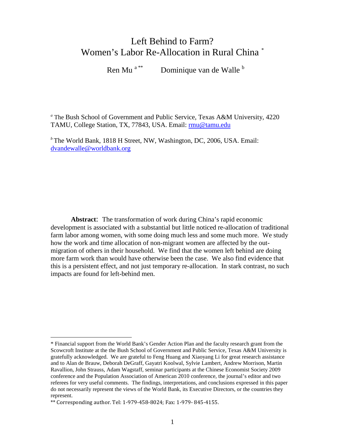# Left Behind to Farm? Women's Labor Re-Allocation in Rural China [\\*](#page-0-0)

Ren Mu<sup>a [\\*\\*](#page-0-1)</sup> Dominique van de Walle <sup>b</sup>

*<sup>a</sup>* The Bush School of Government and Public Service, Texas A&M University, 4220 TAMU, College Station, TX, 77843, USA. Email: [rmu@tamu.edu](mailto:rmu@tamu.edu)

*<sup>b</sup>* The World Bank, 1818 H Street, NW, Washington, DC, 2006, USA. Email: [dvandewalle@worldbank.org](mailto:dvandewalle@worldbank.org)

**Abstract**: The transformation of work during China's rapid economic development is associated with a substantial but little noticed re-allocation of traditional farm labor among women, with some doing much less and some much more. We study how the work and time allocation of non-migrant women are affected by the outmigration of others in their household. We find that the women left behind are doing more farm work than would have otherwise been the case. We also find evidence that this is a persistent effect, and not just temporary re-allocation. In stark contrast, no such impacts are found for left-behind men.

<span id="page-0-0"></span><sup>\*</sup> Financial support from the World Bank's Gender Action Plan and the faculty research grant from the Scowcroft Institute at the the Bush School of Government and Public Service, Texas A&M University is gratefully acknowledged. We are grateful to Feng Huang and Xiaoyang Li for great research assistance and to Alan de Brauw, Deborah DeGraff, Gayatri Koolwal, Sylvie Lambert, Andrew Morrison, Martin Ravallion, John Strauss, Adam Wagstaff, seminar participants at the Chinese Economist Society 2009 conference and the Population Association of American 2010 conference, the journal's editor and two referees for very useful comments. The findings, interpretations, and conclusions expressed in this paper do not necessarily represent the views of the World Bank, its Executive Directors, or the countries they represent.

<span id="page-0-1"></span><sup>\*\*</sup> Corresponding author. Tel: 1-979-458-8024; Fax: 1-979- 845-4155.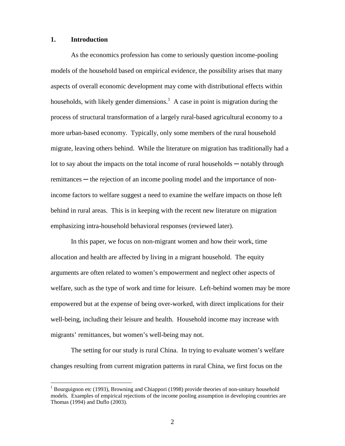#### **1. Introduction**

As the economics profession has come to seriously question income-pooling models of the household based on empirical evidence, the possibility arises that many aspects of overall economic development may come with distributional effects within households, with likely gender dimensions.<sup>[1](#page-1-0)</sup> A case in point is migration during the process of structural transformation of a largely rural-based agricultural economy to a more urban-based economy. Typically, only some members of the rural household migrate, leaving others behind. While the literature on migration has traditionally had a lot to say about the impacts on the total income of rural households — notably through remittances — the rejection of an income pooling model and the importance of nonincome factors to welfare suggest a need to examine the welfare impacts on those left behind in rural areas. This is in keeping with the recent new literature on migration emphasizing intra-household behavioral responses (reviewed later).

In this paper, we focus on non-migrant women and how their work, time allocation and health are affected by living in a migrant household. The equity arguments are often related to women's empowerment and neglect other aspects of welfare, such as the type of work and time for leisure. Left-behind women may be more empowered but at the expense of being over-worked, with direct implications for their well-being, including their leisure and health. Household income may increase with migrants' remittances, but women's well-being may not.

The setting for our study is rural China. In trying to evaluate women's welfare changes resulting from current migration patterns in rural China, we first focus on the

<span id="page-1-0"></span><sup>&</sup>lt;sup>1</sup> Bourguignon etc (1993), Browning and Chiappori (1998) provide theories of non-unitary household models. Examples of empirical rejections of the income pooling assumption in developing countries are Thomas (1994) and Duflo (2003).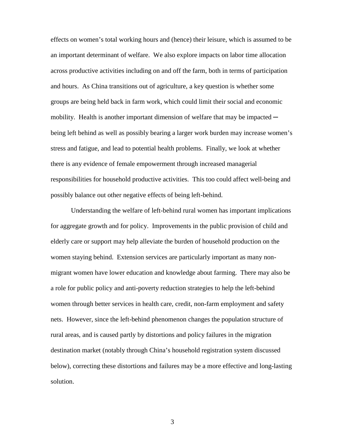effects on women's total working hours and (hence) their leisure, which is assumed to be an important determinant of welfare. We also explore impacts on labor time allocation across productive activities including on and off the farm, both in terms of participation and hours. As China transitions out of agriculture, a key question is whether some groups are being held back in farm work, which could limit their social and economic mobility. Health is another important dimension of welfare that may be impacted  $$ being left behind as well as possibly bearing a larger work burden may increase women's stress and fatigue, and lead to potential health problems. Finally, we look at whether there is any evidence of female empowerment through increased managerial responsibilities for household productive activities. This too could affect well-being and possibly balance out other negative effects of being left-behind.

Understanding the welfare of left-behind rural women has important implications for aggregate growth and for policy. Improvements in the public provision of child and elderly care or support may help alleviate the burden of household production on the women staying behind. Extension services are particularly important as many nonmigrant women have lower education and knowledge about farming. There may also be a role for public policy and anti-poverty reduction strategies to help the left-behind women through better services in health care, credit, non-farm employment and safety nets. However, since the left-behind phenomenon changes the population structure of rural areas, and is caused partly by distortions and policy failures in the migration destination market (notably through China's household registration system discussed below), correcting these distortions and failures may be a more effective and long-lasting solution.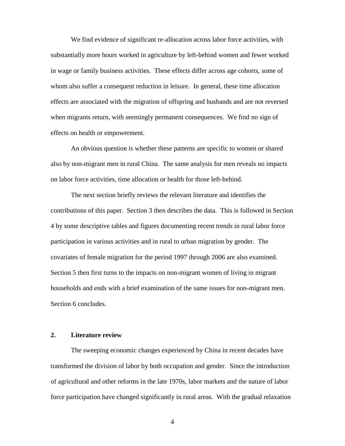We find evidence of significant re-allocation across labor force activities, with substantially more hours worked in agriculture by left-behind women and fewer worked in wage or family business activities. These effects differ across age cohorts, some of whom also suffer a consequent reduction in leisure. In general, these time allocation effects are associated with the migration of offspring and husbands and are not reversed when migrants return, with seemingly permanent consequences. We find no sign of effects on health or empowerment.

An obvious question is whether these patterns are specific to women or shared also by non-migrant men in rural China. The same analysis for men reveals no impacts on labor force activities, time allocation or health for those left-behind.

The next section briefly reviews the relevant literature and identifies the contributions of this paper. Section 3 then describes the data. This is followed in Section 4 by some descriptive tables and figures documenting recent trends in rural labor force participation in various activities and in rural to urban migration by gender. The covariates of female migration for the period 1997 through 2006 are also examined. Section 5 then first turns to the impacts on non-migrant women of living in migrant households and ends with a brief examination of the same issues for non-migrant men. Section 6 concludes.

## **2. Literature review**

The sweeping economic changes experienced by China in recent decades have transformed the division of labor by both occupation and gender. Since the introduction of agricultural and other reforms in the late 1970s, labor markets and the nature of labor force participation have changed significantly in rural areas. With the gradual relaxation

4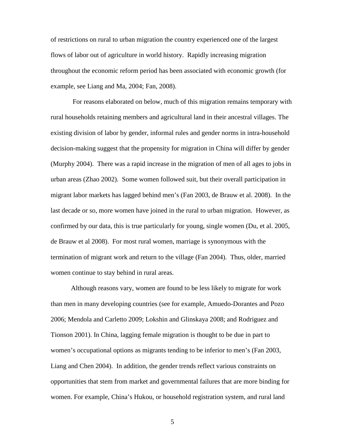of restrictions on rural to urban migration the country experienced one of the largest flows of labor out of agriculture in world history. Rapidly increasing migration throughout the economic reform period has been associated with economic growth (for example, see Liang and Ma, 2004; Fan, 2008).

For reasons elaborated on below, much of this migration remains temporary with rural households retaining members and agricultural land in their ancestral villages. The existing division of labor by gender, informal rules and gender norms in intra-household decision-making suggest that the propensity for migration in China will differ by gender (Murphy 2004). There was a rapid increase in the migration of men of all ages to jobs in urban areas (Zhao 2002). Some women followed suit, but their overall participation in migrant labor markets has lagged behind men's (Fan 2003, de Brauw et al. 2008). In the last decade or so, more women have joined in the rural to urban migration. However, as confirmed by our data, this is true particularly for young, single women (Du, et al. 2005, de Brauw et al 2008). For most rural women, marriage is synonymous with the termination of migrant work and return to the village (Fan 2004). Thus, older, married women continue to stay behind in rural areas.

Although reasons vary, women are found to be less likely to migrate for work than men in many developing countries (see for example, Amuedo-Dorantes and Pozo 2006; Mendola and Carletto 2009; Lokshin and Glinskaya 2008; and Rodriguez and Tionson 2001). In China, lagging female migration is thought to be due in part to women's occupational options as migrants tending to be inferior to men's (Fan 2003, Liang and Chen 2004). In addition, the gender trends reflect various constraints on opportunities that stem from market and governmental failures that are more binding for women. For example, China's Hukou, or household registration system, and rural land

5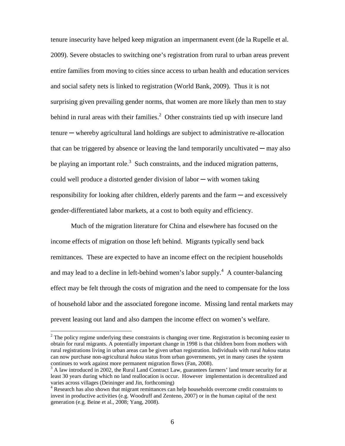tenure insecurity have helped keep migration an impermanent event (de la Rupelle et al. 2009). Severe obstacles to switching one's registration from rural to urban areas prevent entire families from moving to cities since access to urban health and education services and social safety nets is linked to registration (World Bank, 2009). Thus it is not surprising given prevailing gender norms, that women are more likely than men to stay behind in rural areas with their families.<sup>[2](#page-5-0)</sup> Other constraints tied up with insecure land tenure ─ whereby agricultural land holdings are subject to administrative re-allocation that can be triggered by absence or leaving the land temporarily uncultivated  $-$  may also beplaying an important role[.](#page-5-1)<sup>3</sup> Such constraints, and the induced migration patterns, could well produce a distorted gender division of labor ─ with women taking responsibility for looking after children, elderly parents and the farm — and excessively gender-differentiated labor markets, at a cost to both equity and efficiency.

Much of the migration literature for China and elsewhere has focused on the income effects of migration on those left behind. Migrants typically send back remittances. These are expected to have an income effect on the recipient households and may lead to a decline in left-behind women's labor supply.<sup>[4](#page-5-2)</sup> A counter-balancing effect may be felt through the costs of migration and the need to compensate for the loss of household labor and the associated foregone income. Missing land rental markets may prevent leasing out land and also dampen the income effect on women's welfare.

<span id="page-5-0"></span><sup>&</sup>lt;sup>2</sup> The policy regime underlying these constraints is changing over time. Registration is becoming easier to obtain for rural migrants. A potentially important change in 1998 is that children born from mothers with rural registrations living in urban areas can be given urban registration. Individuals with rural *hukou* status can now purchase non-agricultural *hukou* status from urban governments, yet in many cases the system continues to work against more permanent migration flows (Fan, 2008).

<span id="page-5-1"></span> $3$  A law introduced in 2002, the Rural Land Contract Law, guarantees farmers' land tenure security for at least 30 years during which no land reallocation is occur. However implementation is decentralized and varies across villages (Deininger and Jin, forthcoming)

<span id="page-5-2"></span><sup>4</sup> Research has also shown that migrant remittances can help households overcome credit constraints to invest in productive activities (e.g. Woodruff and Zenteno, 2007) or in the human capital of the next generation (e.g. Beine et al., 2008; Yang, 2008).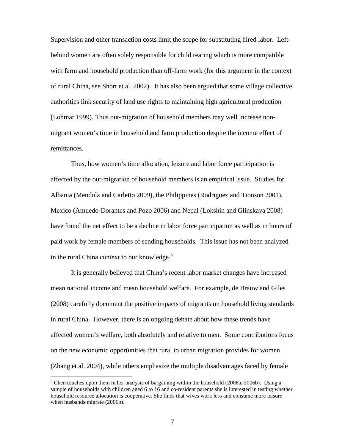Supervision and other transaction costs limit the scope for substituting hired labor. Leftbehind women are often solely responsible for child rearing which is more compatible with farm and household production than off-farm work (for this argument in the context of rural China, see Short et al. 2002). It has also been argued that some village collective authorities link security of land use rights to maintaining high agricultural production (Lohmar 1999). Thus out-migration of household members may well increase nonmigrant women's time in household and farm production despite the income effect of remittances.

Thus, how women's time allocation, leisure and labor force participation is affected by the out-migration of household members is an empirical issue. Studies for Albania (Mendola and Carletto 2009), the Philippines (Rodriguez and Tionson 2001), Mexico (Amuedo-Dorantes and Pozo 2006) and Nepal (Lokshin and Glinskaya 2008) have found the net effect to be a decline in labor force participation as well as in hours of paid work by female members of sending households. This issue has not been analyzed in the rural China context to our knowledge. $5$ 

It is generally believed that China's recent labor market changes have increased mean national income and mean household welfare. For example, de Brauw and Giles (2008) carefully document the positive impacts of migrants on household living standards in rural China. However, there is an ongoing debate about how these trends have affected women's welfare, both absolutely and relative to men. Some contributions focus on the new economic opportunities that rural to urban migration provides for women (Zhang et al. 2004), while others emphasize the multiple disadvantages faced by female

<span id="page-6-0"></span><sup>&</sup>lt;sup>5</sup> Chen touches upon them in her analysis of bargaining within the household (2006a, 2006b). Using a sample of households with children aged 6 to 16 and co-resident parents she is interested in testing whether household resource allocation is cooperative. She finds that wives work less and consume more leisure when husbands migrate (2006b).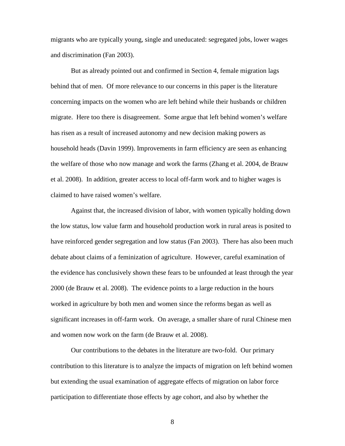migrants who are typically young, single and uneducated: segregated jobs, lower wages and discrimination (Fan 2003).

But as already pointed out and confirmed in Section 4, female migration lags behind that of men. Of more relevance to our concerns in this paper is the literature concerning impacts on the women who are left behind while their husbands or children migrate. Here too there is disagreement. Some argue that left behind women's welfare has risen as a result of increased autonomy and new decision making powers as household heads (Davin 1999). Improvements in farm efficiency are seen as enhancing the welfare of those who now manage and work the farms (Zhang et al. 2004, de Brauw et al. 2008). In addition, greater access to local off-farm work and to higher wages is claimed to have raised women's welfare.

Against that, the increased division of labor, with women typically holding down the low status, low value farm and household production work in rural areas is posited to have reinforced gender segregation and low status (Fan 2003). There has also been much debate about claims of a feminization of agriculture. However, careful examination of the evidence has conclusively shown these fears to be unfounded at least through the year 2000 (de Brauw et al. 2008). The evidence points to a large reduction in the hours worked in agriculture by both men and women since the reforms began as well as significant increases in off-farm work. On average, a smaller share of rural Chinese men and women now work on the farm (de Brauw et al. 2008).

Our contributions to the debates in the literature are two-fold. Our primary contribution to this literature is to analyze the impacts of migration on left behind women but extending the usual examination of aggregate effects of migration on labor force participation to differentiate those effects by age cohort, and also by whether the

8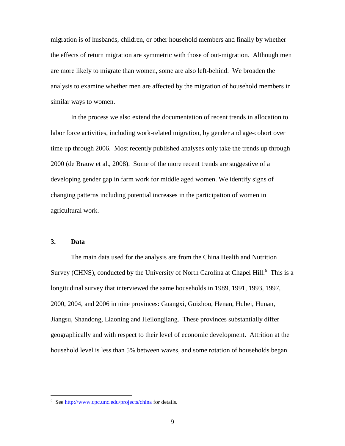migration is of husbands, children, or other household members and finally by whether the effects of return migration are symmetric with those of out-migration. Although men are more likely to migrate than women, some are also left-behind. We broaden the analysis to examine whether men are affected by the migration of household members in similar ways to women.

In the process we also extend the documentation of recent trends in allocation to labor force activities, including work-related migration, by gender and age-cohort over time up through 2006. Most recently published analyses only take the trends up through 2000 (de Brauw et al., 2008). Some of the more recent trends are suggestive of a developing gender gap in farm work for middle aged women. We identify signs of changing patterns including potential increases in the participation of women in agricultural work.

## **3. Data**

The main data used for the analysis are from the China Health and Nutrition Survey(CHNS), conducted by the University of North Carolina at Chapel Hill[.](#page-8-0)<sup>6</sup> This is a longitudinal survey that interviewed the same households in 1989, 1991, 1993, 1997, 2000, 2004, and 2006 in nine provinces: Guangxi, Guizhou, Henan, Hubei, Hunan, Jiangsu, Shandong, Liaoning and Heilongjiang. These provinces substantially differ geographically and with respect to their level of economic development. Attrition at the household level is less than 5% between waves, and some rotation of households began

<span id="page-8-0"></span><sup>&</sup>lt;sup>6</sup> See http://www.cpc.unc.edu/projects/china for details.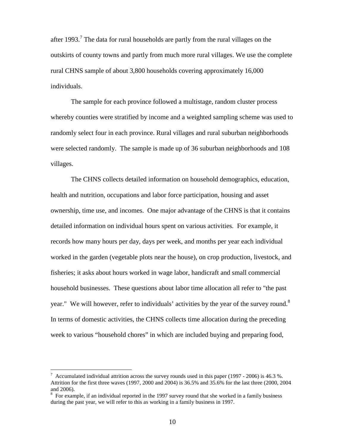after1993.<sup>7</sup> The data for rural households are partly from the rural villages on the outskirts of county towns and partly from much more rural villages. We use the complete rural CHNS sample of about 3,800 households covering approximately 16,000 individuals.

The sample for each province followed a multistage, random cluster process whereby counties were stratified by income and a weighted sampling scheme was used to randomly select four in each province. Rural villages and rural suburban neighborhoods were selected randomly. The sample is made up of 36 suburban neighborhoods and 108 villages.

The CHNS collects detailed information on household demographics, education, health and nutrition, occupations and labor force participation, housing and asset ownership, time use, and incomes. One major advantage of the CHNS is that it contains detailed information on individual hours spent on various activities. For example, it records how many hours per day, days per week, and months per year each individual worked in the garden (vegetable plots near the house), on crop production, livestock, and fisheries; it asks about hours worked in wage labor, handicraft and small commercial household businesses. These questions about labor time allocation all refer to "the past year." We will however, refer to individuals' activities by the year of the survey round. $8$ In terms of domestic activities, the CHNS collects time allocation during the preceding week to various "household chores" in which are included buying and preparing food,

<span id="page-9-0"></span> $^7$  Accumulated individual attrition across the survey rounds used in this paper (1997 - 2006) is 46.3 %. Attrition for the first three waves (1997, 2000 and 2004) is 36.5% and 35.6% for the last three (2000, 2004 and 2006).

<span id="page-9-1"></span> $8\,$  For example, if an individual reported in the 1997 survey round that she worked in a family business during the past year, we will refer to this as working in a family business in 1997.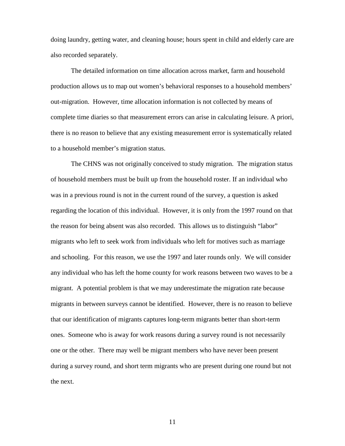doing laundry, getting water, and cleaning house; hours spent in child and elderly care are also recorded separately.

The detailed information on time allocation across market, farm and household production allows us to map out women's behavioral responses to a household members' out-migration. However, time allocation information is not collected by means of complete time diaries so that measurement errors can arise in calculating leisure. A priori, there is no reason to believe that any existing measurement error is systematically related to a household member's migration status.

The CHNS was not originally conceived to study migration. The migration status of household members must be built up from the household roster. If an individual who was in a previous round is not in the current round of the survey, a question is asked regarding the location of this individual. However, it is only from the 1997 round on that the reason for being absent was also recorded. This allows us to distinguish "labor" migrants who left to seek work from individuals who left for motives such as marriage and schooling. For this reason, we use the 1997 and later rounds only. We will consider any individual who has left the home county for work reasons between two waves to be a migrant. A potential problem is that we may underestimate the migration rate because migrants in between surveys cannot be identified. However, there is no reason to believe that our identification of migrants captures long-term migrants better than short-term ones. Someone who is away for work reasons during a survey round is not necessarily one or the other. There may well be migrant members who have never been present during a survey round, and short term migrants who are present during one round but not the next.

11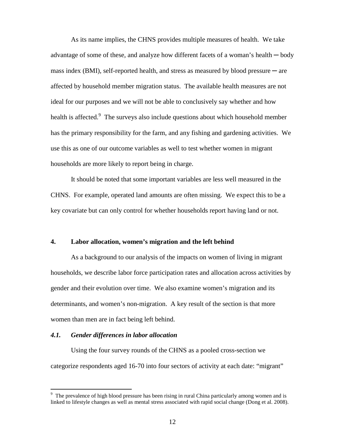As its name implies, the CHNS provides multiple measures of health. We take advantage of some of these, and analyze how different facets of a woman's health ─ body mass index  $(BMI)$ , self-reported health, and stress as measured by blood pressure  $-\text{ are }$ affected by household member migration status. The available health measures are not ideal for our purposes and we will not be able to conclusively say whether and how health is affected.<sup>[9](#page-11-0)</sup> The surveys also include questions about which household member has the primary responsibility for the farm, and any fishing and gardening activities. We use this as one of our outcome variables as well to test whether women in migrant households are more likely to report being in charge.

It should be noted that some important variables are less well measured in the CHNS. For example, operated land amounts are often missing. We expect this to be a key covariate but can only control for whether households report having land or not.

## **4. Labor allocation, women's migration and the left behind**

As a background to our analysis of the impacts on women of living in migrant households, we describe labor force participation rates and allocation across activities by gender and their evolution over time. We also examine women's migration and its determinants, and women's non-migration. A key result of the section is that more women than men are in fact being left behind.

#### *4.1. Gender differences in labor allocation*

Using the four survey rounds of the CHNS as a pooled cross-section we categorize respondents aged 16-70 into four sectors of activity at each date: "migrant"

<span id="page-11-0"></span><sup>&</sup>lt;sup>9</sup> The prevalence of high blood pressure has been rising in rural China particularly among women and is linked to lifestyle changes as well as mental stress associated with rapid social change (Dong et al. 2008).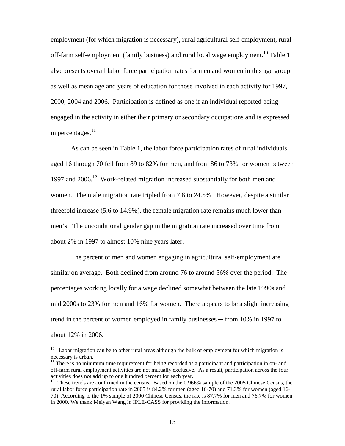employment (for which migration is necessary), rural agricultural self-employment, rural off-farm self-employment (family business) and rural local wage employment.<sup>[10](#page-12-0)</sup> Table 1 also presents overall labor force participation rates for men and women in this age group as well as mean age and years of education for those involved in each activity for 1997, 2000, 2004 and 2006. Participation is defined as one if an individual reported being engaged in the activity in either their primary or secondary occupations and is expressed in percentages. $^{11}$  $^{11}$  $^{11}$ 

As can be seen in Table 1, the labor force participation rates of rural individuals aged 16 through 70 fell from 89 to 82% for men, and from 86 to 73% for women between 1997 and 2006.<sup>[12](#page-12-2)</sup> Work-related migration increased substantially for both men and women. The male migration rate tripled from 7.8 to 24.5%. However, despite a similar threefold increase (5.6 to 14.9%), the female migration rate remains much lower than men's. The unconditional gender gap in the migration rate increased over time from about 2% in 1997 to almost 10% nine years later.

The percent of men and women engaging in agricultural self-employment are similar on average. Both declined from around 76 to around 56% over the period. The percentages working locally for a wage declined somewhat between the late 1990s and mid 2000s to 23% for men and 16% for women. There appears to be a slight increasing trend in the percent of women employed in family businesses ─ from 10% in 1997 to about 12% in 2006.

<span id="page-12-0"></span> $10$  Labor migration can be to other rural areas although the bulk of employment for which migration is necessary is urban.

<span id="page-12-1"></span> $11$  There is no minimum time requirement for being recorded as a participant and participation in on- and off-farm rural employment activities are not mutually exclusive. As a result, participation across the four activities does not add up to one hundred percent for each year.

<span id="page-12-2"></span> $12$  These trends are confirmed in the census. Based on the 0.966% sample of the 2005 Chinese Census, the rural labor force participation rate in 2005 is 84.2% for men (aged 16-70) and 71.3% for women (aged 16- 70). According to the 1% sample of 2000 Chinese Census, the rate is 87.7% for men and 76.7% for women in 2000. We thank Meiyan Wang in IPLE-CASS for providing the information.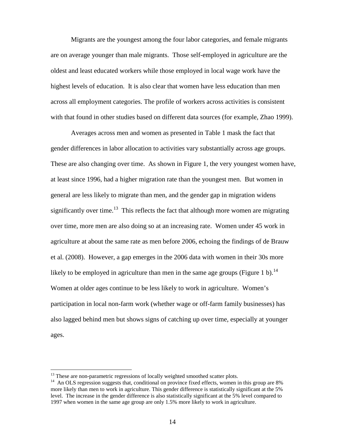Migrants are the youngest among the four labor categories, and female migrants are on average younger than male migrants. Those self-employed in agriculture are the oldest and least educated workers while those employed in local wage work have the highest levels of education. It is also clear that women have less education than men across all employment categories. The profile of workers across activities is consistent with that found in other studies based on different data sources (for example, Zhao 1999).

Averages across men and women as presented in Table 1 mask the fact that gender differences in labor allocation to activities vary substantially across age groups. These are also changing over time. As shown in Figure 1, the very youngest women have, at least since 1996, had a higher migration rate than the youngest men. But women in general are less likely to migrate than men, and the gender gap in migration widens significantlyover time[.](#page-13-0)<sup>13</sup> This reflects the fact that although more women are migrating over time, more men are also doing so at an increasing rate. Women under 45 work in agriculture at about the same rate as men before 2006, echoing the findings of de Brauw et al. (2008). However, a gap emerges in the 2006 data with women in their 30s more likelyto be employed in agriculture than men in the same age groups (Figure 1 b)[.](#page-13-1)<sup>14</sup> Women at older ages continue to be less likely to work in agriculture. Women's participation in local non-farm work (whether wage or off-farm family businesses) has also lagged behind men but shows signs of catching up over time, especially at younger ages.

<span id="page-13-0"></span><sup>&</sup>lt;sup>13</sup> These are non-parametric regressions of locally weighted smoothed scatter plots.

<span id="page-13-1"></span><sup>&</sup>lt;sup>14</sup> An OLS regression suggests that, conditional on province fixed effects, women in this group are 8% more likely than men to work in agriculture. This gender difference is statistically significant at the 5% level. The increase in the gender difference is also statistically significant at the 5% level compared to 1997 when women in the same age group are only 1.5% more likely to work in agriculture.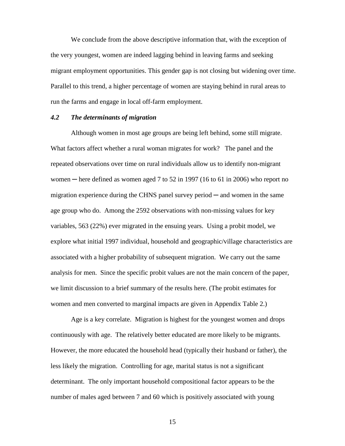We conclude from the above descriptive information that, with the exception of the very youngest, women are indeed lagging behind in leaving farms and seeking migrant employment opportunities. This gender gap is not closing but widening over time. Parallel to this trend, a higher percentage of women are staying behind in rural areas to run the farms and engage in local off-farm employment.

#### *4.2 The determinants of migration*

Although women in most age groups are being left behind, some still migrate. What factors affect whether a rural woman migrates for work? The panel and the repeated observations over time on rural individuals allow us to identify non-migrant women  $-$  here defined as women aged 7 to 52 in 1997 (16 to 61 in 2006) who report no migration experience during the CHNS panel survey period  $-$  and women in the same age group who do. Among the 2592 observations with non-missing values for key variables, 563 (22%) ever migrated in the ensuing years. Using a probit model, we explore what initial 1997 individual, household and geographic/village characteristics are associated with a higher probability of subsequent migration. We carry out the same analysis for men. Since the specific probit values are not the main concern of the paper, we limit discussion to a brief summary of the results here. (The probit estimates for women and men converted to marginal impacts are given in Appendix Table 2.)

Age is a key correlate. Migration is highest for the youngest women and drops continuously with age. The relatively better educated are more likely to be migrants. However, the more educated the household head (typically their husband or father), the less likely the migration. Controlling for age, marital status is not a significant determinant. The only important household compositional factor appears to be the number of males aged between 7 and 60 which is positively associated with young

15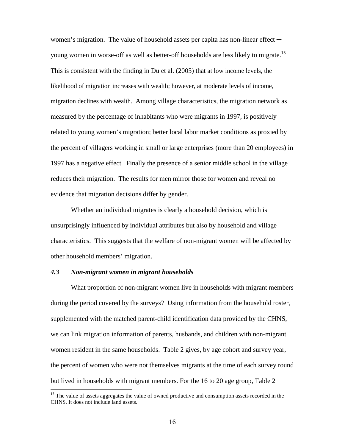women's migration. The value of household assets per capita has non-linear effect  $-$ young women in worse-off as well as better-off households are less likely to migrate.<sup>[15](#page-15-0)</sup> This is consistent with the finding in Du et al. (2005) that at low income levels, the likelihood of migration increases with wealth; however, at moderate levels of income, migration declines with wealth. Among village characteristics, the migration network as measured by the percentage of inhabitants who were migrants in 1997, is positively related to young women's migration; better local labor market conditions as proxied by the percent of villagers working in small or large enterprises (more than 20 employees) in 1997 has a negative effect. Finally the presence of a senior middle school in the village reduces their migration. The results for men mirror those for women and reveal no evidence that migration decisions differ by gender.

Whether an individual migrates is clearly a household decision, which is unsurprisingly influenced by individual attributes but also by household and village characteristics. This suggests that the welfare of non-migrant women will be affected by other household members' migration.

#### *4.3 Non-migrant women in migrant households*

What proportion of non-migrant women live in households with migrant members during the period covered by the surveys? Using information from the household roster, supplemented with the matched parent-child identification data provided by the CHNS, we can link migration information of parents, husbands, and children with non-migrant women resident in the same households. Table 2 gives, by age cohort and survey year, the percent of women who were not themselves migrants at the time of each survey round but lived in households with migrant members. For the 16 to 20 age group, Table 2

<span id="page-15-0"></span><sup>&</sup>lt;sup>15</sup> The value of assets aggregates the value of owned productive and consumption assets recorded in the CHNS. It does not include land assets.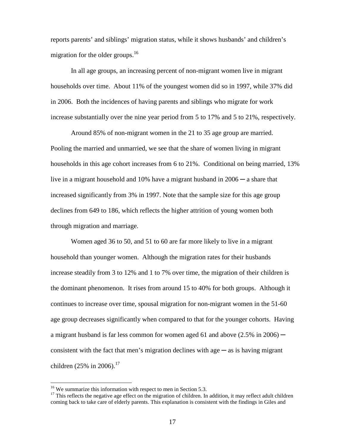reports parents' and siblings' migration status, while it shows husbands' and children's migration for the older groups.<sup>[16](#page-16-0)</sup>

In all age groups, an increasing percent of non-migrant women live in migrant households over time. About 11% of the youngest women did so in 1997, while 37% did in 2006. Both the incidences of having parents and siblings who migrate for work increase substantially over the nine year period from 5 to 17% and 5 to 21%, respectively.

Around 85% of non-migrant women in the 21 to 35 age group are married. Pooling the married and unmarried, we see that the share of women living in migrant households in this age cohort increases from 6 to 21%. Conditional on being married, 13% live in a migrant household and 10% have a migrant husband in 2006 ─ a share that increased significantly from 3% in 1997. Note that the sample size for this age group declines from 649 to 186, which reflects the higher attrition of young women both through migration and marriage.

Women aged 36 to 50, and 51 to 60 are far more likely to live in a migrant household than younger women. Although the migration rates for their husbands increase steadily from 3 to 12% and 1 to 7% over time, the migration of their children is the dominant phenomenon. It rises from around 15 to 40% for both groups. Although it continues to increase over time, spousal migration for non-migrant women in the 51-60 age group decreases significantly when compared to that for the younger cohorts. Having a migrant husband is far less common for women aged 61 and above  $(2.5\%$  in 2006) consistent with the fact that men's migration declines with age  $-\infty$  is having migrant children (25% in 2006).<sup>[17](#page-16-1)</sup>

<span id="page-16-0"></span><sup>&</sup>lt;sup>16</sup> We summarize this information with respect to men in Section 5.3.

<span id="page-16-1"></span> $17$  This reflects the negative age effect on the migration of children. In addition, it may reflect adult children coming back to take care of elderly parents. This explanation is consistent with the findings in Giles and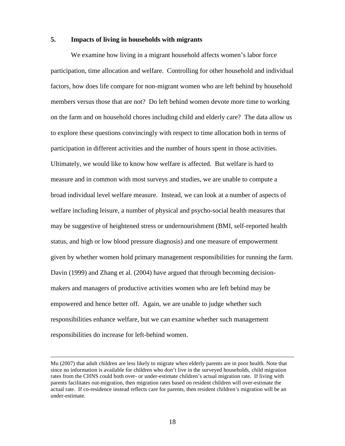#### **5. Impacts of living in households with migrants**

We examine how living in a migrant household affects women's labor force participation, time allocation and welfare. Controlling for other household and individual factors, how does life compare for non-migrant women who are left behind by household members versus those that are not? Do left behind women devote more time to working on the farm and on household chores including child and elderly care? The data allow us to explore these questions convincingly with respect to time allocation both in terms of participation in different activities and the number of hours spent in those activities. Ultimately, we would like to know how welfare is affected. But welfare is hard to measure and in common with most surveys and studies, we are unable to compute a broad individual level welfare measure. Instead, we can look at a number of aspects of welfare including leisure, a number of physical and psycho-social health measures that may be suggestive of heightened stress or undernourishment (BMI, self-reported health status, and high or low blood pressure diagnosis) and one measure of empowerment given by whether women hold primary management responsibilities for running the farm. Davin (1999) and Zhang et al. (2004) have argued that through becoming decisionmakers and managers of productive activities women who are left behind may be empowered and hence better off. Again, we are unable to judge whether such responsibilities enhance welfare, but we can examine whether such management responsibilities do increase for left-behind women.

Mu (2007) that adult children are less likely to migrate when elderly parents are in poor health. Note that since no information is available for children who don't live in the surveyed households, child migration rates from the CHNS could both over- or under-estimate children's actual migration rate. If living with parents facilitates out-migration, then migration rates based on resident children will over-estimate the actual rate. If co-residence instead reflects care for parents, then resident children's migration will be an under-estimate.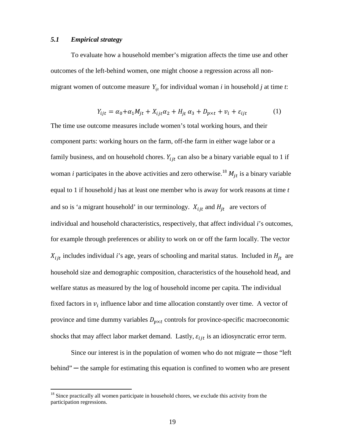#### *5.1 Empirical strategy*

To evaluate how a household member's migration affects the time use and other outcomes of the left-behind women, one might choose a regression across all nonmigrant women of outcome measure  $Y_{ij}$  for individual woman *i* in household *j* at time *t*:

$$
Y_{ijt} = \alpha_0 + \alpha_1 M_{jt} + X_{ijt} \alpha_2 + H_{jt} \alpha_3 + D_{p \times t} + v_i + \varepsilon_{ijt}
$$
 (1)

The time use outcome measures include women's total working hours, and their component parts: working hours on the farm, off-the farm in either wage labor or a family business, and on household chores.  $Y_{ijt}$  can also be a binary variable equal to 1 if woman *i* participates in the above activities and zero otherwise.<sup>[18](#page-18-0)</sup>  $M_{it}$  is a binary variable equal to 1 if household *j* has at least one member who is away for work reasons at time *t* and so is 'a migrant household' in our terminology.  $X_{ijt}$  and  $H_{jt}$  are vectors of individual and household characteristics, respectively, that affect individual *i*'s outcomes, for example through preferences or ability to work on or off the farm locally. The vector  $X_{ijt}$  includes individual *i*'s age, years of schooling and marital status. Included in  $H_{jt}$  are household size and demographic composition, characteristics of the household head, and welfare status as measured by the log of household income per capita. The individual fixed factors in  $v_i$  influence labor and time allocation constantly over time. A vector of province and time dummy variables  $D_{p \times t}$  controls for province-specific macroeconomic shocks that may affect labor market demand. Lastly,  $\varepsilon_{i j t}$  is an idiosyncratic error term.

Since our interest is in the population of women who do not migrate  $-$  those "left" behind" — the sample for estimating this equation is confined to women who are present

<span id="page-18-0"></span><sup>&</sup>lt;sup>18</sup> Since practically all women participate in household chores, we exclude this activity from the participation regressions.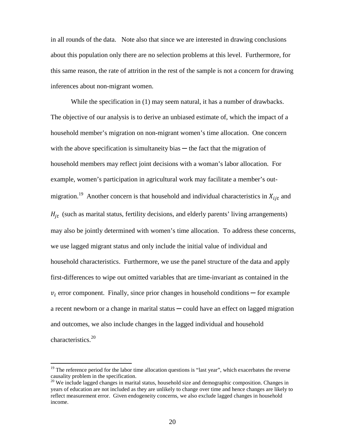in all rounds of the data. Note also that since we are interested in drawing conclusions about this population only there are no selection problems at this level. Furthermore, for this same reason, the rate of attrition in the rest of the sample is not a concern for drawing inferences about non-migrant women.

While the specification in (1) may seem natural, it has a number of drawbacks. The objective of our analysis is to derive an unbiased estimate of, which the impact of a household member's migration on non-migrant women's time allocation. One concern with the above specification is simultaneity bias  $-$  the fact that the migration of household members may reflect joint decisions with a woman's labor allocation. For example, women's participation in agricultural work may facilitate a member's out-migration.<sup>[19](#page-19-0)</sup> Another concern is that household and individual characteristics in  $X_{ijt}$  and  $H_{jt}$  (such as marital status, fertility decisions, and elderly parents' living arrangements) may also be jointly determined with women's time allocation. To address these concerns, we use lagged migrant status and only include the initial value of individual and household characteristics. Furthermore, we use the panel structure of the data and apply first-differences to wipe out omitted variables that are time-invariant as contained in the  $v_i$  error component. Finally, since prior changes in household conditions — for example a recent newborn or a change in marital status  $\sim$  could have an effect on lagged migration and outcomes, we also include changes in the lagged individual and household characteristics.<sup>[20](#page-19-1)</sup>

<span id="page-19-0"></span><sup>&</sup>lt;sup>19</sup> The reference period for the labor time allocation questions is "last year", which exacerbates the reverse causality problem in the specification.

<span id="page-19-1"></span><sup>&</sup>lt;sup>20</sup> We include lagged changes in marital status, household size and demographic composition. Changes in years of education are not included as they are unlikely to change over time and hence changes are likely to reflect measurement error. Given endogeneity concerns, we also exclude lagged changes in household income.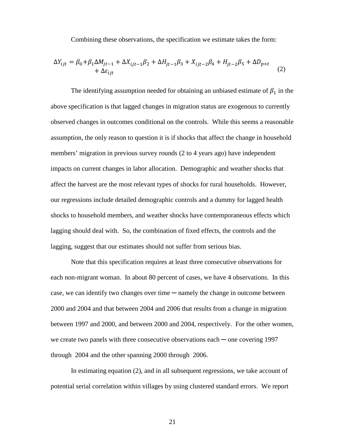Combining these observations, the specification we estimate takes the form:

$$
\Delta Y_{ijt} = \beta_0 + \beta_1 \Delta M_{jt-1} + \Delta X_{ijt-1} \beta_2 + \Delta H_{jt-1} \beta_3 + X_{ijt-2} \beta_4 + H_{jt-2} \beta_5 + \Delta D_{p \times t} + \Delta \varepsilon_{ijt}
$$
\n(2)

The identifying assumption needed for obtaining an unbiased estimate of  $\beta_1$  in the above specification is that lagged changes in migration status are exogenous to currently observed changes in outcomes conditional on the controls. While this seems a reasonable assumption, the only reason to question it is if shocks that affect the change in household members' migration in previous survey rounds (2 to 4 years ago) have independent impacts on current changes in labor allocation. Demographic and weather shocks that affect the harvest are the most relevant types of shocks for rural households. However, our regressions include detailed demographic controls and a dummy for lagged health shocks to household members, and weather shocks have contemporaneous effects which lagging should deal with. So, the combination of fixed effects, the controls and the lagging, suggest that our estimates should not suffer from serious bias.

Note that this specification requires at least three consecutive observations for each non-migrant woman. In about 80 percent of cases, we have 4 observations. In this case, we can identify two changes over time ─ namely the change in outcome between 2000 and 2004 and that between 2004 and 2006 that results from a change in migration between 1997 and 2000, and between 2000 and 2004, respectively. For the other women, we create two panels with three consecutive observations each — one covering 1997 through 2004 and the other spanning 2000 through 2006.

In estimating equation (2), and in all subsequent regressions, we take account of potential serial correlation within villages by using clustered standard errors. We report

21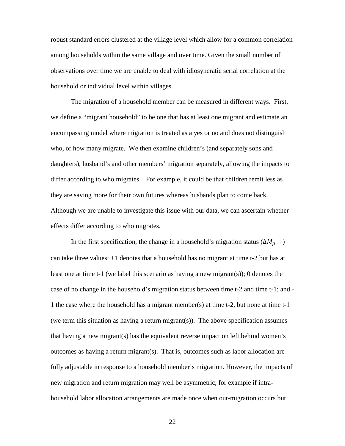robust standard errors clustered at the village level which allow for a common correlation among households within the same village and over time. Given the small number of observations over time we are unable to deal with idiosyncratic serial correlation at the household or individual level within villages.

The migration of a household member can be measured in different ways. First, we define a "migrant household" to be one that has at least one migrant and estimate an encompassing model where migration is treated as a yes or no and does not distinguish who, or how many migrate. We then examine children's (and separately sons and daughters), husband's and other members' migration separately, allowing the impacts to differ according to who migrates. For example, it could be that children remit less as they are saving more for their own futures whereas husbands plan to come back. Although we are unable to investigate this issue with our data, we can ascertain whether effects differ according to who migrates.

In the first specification, the change in a household's migration status ( $\Delta M_{it-1}$ ) can take three values: +1 denotes that a household has no migrant at time t-2 but has at least one at time t-1 (we label this scenario as having a new migrant(s)); 0 denotes the case of no change in the household's migration status between time t-2 and time t-1; and - 1 the case where the household has a migrant member(s) at time t-2, but none at time t-1 (we term this situation as having a return migrant(s)). The above specification assumes that having a new migrant(s) has the equivalent reverse impact on left behind women's outcomes as having a return migrant(s). That is, outcomes such as labor allocation are fully adjustable in response to a household member's migration. However, the impacts of new migration and return migration may well be asymmetric, for example if intrahousehold labor allocation arrangements are made once when out-migration occurs but

22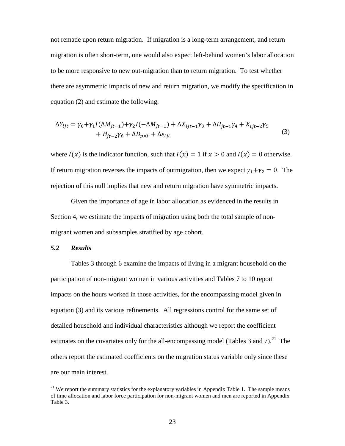not remade upon return migration. If migration is a long-term arrangement, and return migration is often short-term, one would also expect left-behind women's labor allocation to be more responsive to new out-migration than to return migration. To test whether there are asymmetric impacts of new and return migration, we modify the specification in equation (2) and estimate the following:

$$
\Delta Y_{ijt} = \gamma_0 + \gamma_1 I(\Delta M_{jt-1}) + \gamma_2 I(-\Delta M_{jt-1}) + \Delta X_{ijt-1}\gamma_3 + \Delta H_{jt-1}\gamma_4 + X_{ijt-2}\gamma_5 + H_{jt-2}\gamma_6 + \Delta D_{p \times t} + \Delta \varepsilon_{ijt}
$$
\n(3)

where  $I(x)$  is the indicator function, such that  $I(x) = 1$  if  $x > 0$  and  $I(x) = 0$  otherwise. If return migration reverses the impacts of outmigration, then we expect  $\gamma_1 + \gamma_2 = 0$ . The rejection of this null implies that new and return migration have symmetric impacts.

Given the importance of age in labor allocation as evidenced in the results in Section 4, we estimate the impacts of migration using both the total sample of nonmigrant women and subsamples stratified by age cohort.

#### *5.2 Results*

Tables 3 through 6 examine the impacts of living in a migrant household on the participation of non-migrant women in various activities and Tables 7 to 10 report impacts on the hours worked in those activities, for the encompassing model given in equation (3) and its various refinements. All regressions control for the same set of detailed household and individual characteristics although we report the coefficient estimateson the covariates only for the all-encompassing model (Tables 3 and 7)[.](#page-22-0)<sup>21</sup> The others report the estimated coefficients on the migration status variable only since these are our main interest.

<span id="page-22-0"></span> $21$  We report the summary statistics for the explanatory variables in Appendix Table 1. The sample means of time allocation and labor force participation for non-migrant women and men are reported in Appendix Table 3.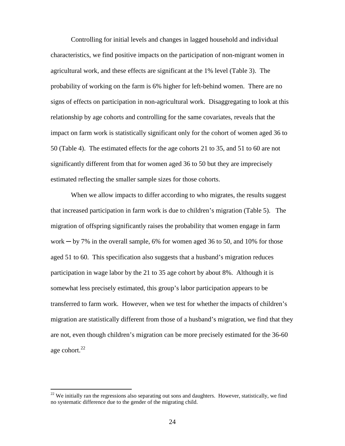Controlling for initial levels and changes in lagged household and individual characteristics, we find positive impacts on the participation of non-migrant women in agricultural work, and these effects are significant at the 1% level (Table 3). The probability of working on the farm is 6% higher for left-behind women. There are no signs of effects on participation in non-agricultural work. Disaggregating to look at this relationship by age cohorts and controlling for the same covariates, reveals that the impact on farm work is statistically significant only for the cohort of women aged 36 to 50 (Table 4). The estimated effects for the age cohorts 21 to 35, and 51 to 60 are not significantly different from that for women aged 36 to 50 but they are imprecisely estimated reflecting the smaller sample sizes for those cohorts.

When we allow impacts to differ according to who migrates, the results suggest that increased participation in farm work is due to children's migration (Table 5). The migration of offspring significantly raises the probability that women engage in farm work  $-$  by 7% in the overall sample, 6% for women aged 36 to 50, and 10% for those aged 51 to 60. This specification also suggests that a husband's migration reduces participation in wage labor by the 21 to 35 age cohort by about 8%. Although it is somewhat less precisely estimated, this group's labor participation appears to be transferred to farm work. However, when we test for whether the impacts of children's migration are statistically different from those of a husband's migration, we find that they are not, even though children's migration can be more precisely estimated for the 36-60 age cohort. $^{22}$  $^{22}$  $^{22}$ 

<span id="page-23-0"></span> $22$  We initially ran the regressions also separating out sons and daughters. However, statistically, we find no systematic difference due to the gender of the migrating child.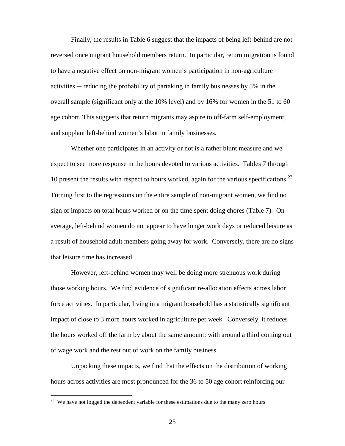Finally, the results in Table 6 suggest that the impacts of being left-behind are not reversed once migrant household members return. In particular, return migration is found to have a negative effect on non-migrant women's participation in non-agriculture activities ─ reducing the probability of partaking in family businesses by 5% in the overall sample (significant only at the 10% level) and by 16% for women in the 51 to 60 age cohort. This suggests that return migrants may aspire to off-farm self-employment, and supplant left-behind women's labor in family businesses.

Whether one participates in an activity or not is a rather blunt measure and we expect to see more response in the hours devoted to various activities. Tables 7 through 10 present the results with respect to hours worked, again for the various specifications.<sup>[23](#page-24-0)</sup> Turning first to the regressions on the entire sample of non-migrant women, we find no sign of impacts on total hours worked or on the time spent doing chores (Table 7). On average, left-behind women do not appear to have longer work days or reduced leisure as a result of household adult members going away for work. Conversely, there are no signs that leisure time has increased.

However, left-behind women may well be doing more strenuous work during those working hours. We find evidence of significant re-allocation effects across labor force activities. In particular, living in a migrant household has a statistically significant impact of close to 3 more hours worked in agriculture per week. Conversely, it reduces the hours worked off the farm by about the same amount: with around a third coming out of wage work and the rest out of work on the family business.

Unpacking these impacts, we find that the effects on the distribution of working hours across activities are most pronounced for the 36 to 50 age cohort reinforcing our

<span id="page-24-0"></span><sup>&</sup>lt;sup>23</sup> We have not logged the dependent variable for these estimations due to the many zero hours.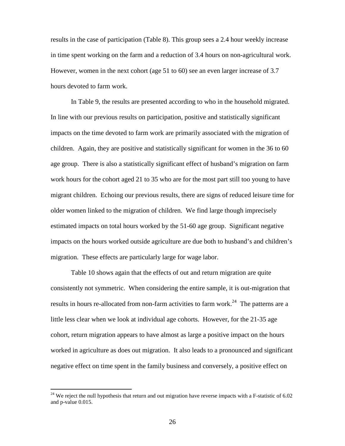results in the case of participation (Table 8). This group sees a 2.4 hour weekly increase in time spent working on the farm and a reduction of 3.4 hours on non-agricultural work. However, women in the next cohort (age 51 to 60) see an even larger increase of 3.7 hours devoted to farm work.

In Table 9, the results are presented according to who in the household migrated. In line with our previous results on participation, positive and statistically significant impacts on the time devoted to farm work are primarily associated with the migration of children. Again, they are positive and statistically significant for women in the 36 to 60 age group. There is also a statistically significant effect of husband's migration on farm work hours for the cohort aged 21 to 35 who are for the most part still too young to have migrant children. Echoing our previous results, there are signs of reduced leisure time for older women linked to the migration of children. We find large though imprecisely estimated impacts on total hours worked by the 51-60 age group. Significant negative impacts on the hours worked outside agriculture are due both to husband's and children's migration. These effects are particularly large for wage labor.

Table 10 shows again that the effects of out and return migration are quite consistently not symmetric. When considering the entire sample, it is out-migration that results in hours re-allocated from non-farm activities to farm work.<sup>[24](#page-25-0)</sup> The patterns are a little less clear when we look at individual age cohorts. However, for the 21-35 age cohort, return migration appears to have almost as large a positive impact on the hours worked in agriculture as does out migration. It also leads to a pronounced and significant negative effect on time spent in the family business and conversely, a positive effect on

<span id="page-25-0"></span> $24$  We reject the null hypothesis that return and out migration have reverse impacts with a F-statistic of 6.02 and p-value 0.015.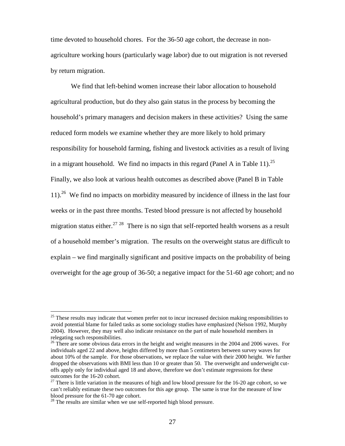time devoted to household chores. For the 36-50 age cohort, the decrease in nonagriculture working hours (particularly wage labor) due to out migration is not reversed by return migration.

We find that left-behind women increase their labor allocation to household agricultural production, but do they also gain status in the process by becoming the household's primary managers and decision makers in these activities? Using the same reduced form models we examine whether they are more likely to hold primary responsibility for household farming, fishing and livestock activities as a result of living ina migrant household[.](#page-26-0) We find no impacts in this regard (Panel A in Table 11).<sup>25</sup> Finally, we also look at various health outcomes as described above (Panel B in Table 11).<sup>[26](#page-26-1)</sup> We find no impacts on morbidity measured by incidence of illness in the last four weeks or in the past three months. Tested blood pressure is not affected by household migration status either.<sup>[27](#page-26-2)</sup> <sup>[28](#page-26-3)</sup> There is no sign that self-reported health worsens as a result of a household member's migration. The results on the overweight status are difficult to explain – we find marginally significant and positive impacts on the probability of being overweight for the age group of 36-50; a negative impact for the 51-60 age cohort; and no

<span id="page-26-0"></span> $25$  These results may indicate that women prefer not to incur increased decision making responsibilities to avoid potential blame for failed tasks as some sociology studies have emphasized (Nelson 1992, Murphy 2004). However, they may well also indicate resistance on the part of male household members in relegating such responsibilities.

<span id="page-26-1"></span> $^{26}$  There are some obvious data errors in the height and weight measures in the 2004 and 2006 waves. For individuals aged 22 and above, heights differed by more than 5 centimeters between survey waves for about 10% of the sample. For those observations, we replace the value with their 2000 height. We further dropped the observations with BMI less than 10 or greater than 50. The overweight and underweight cutoffs apply only for individual aged 18 and above, therefore we don't estimate regressions for these outcomes for the 16-20 cohort.

<span id="page-26-2"></span><sup>&</sup>lt;sup>27</sup> There is little variation in the measures of high and low blood pressure for the 16-20 age cohort, so we can't reliably estimate these two outcomes for this age group. The same is true for the measure of low blood pressure for the 61-70 age cohort.

<span id="page-26-3"></span> $28$  The results are similar when we use self-reported high blood pressure.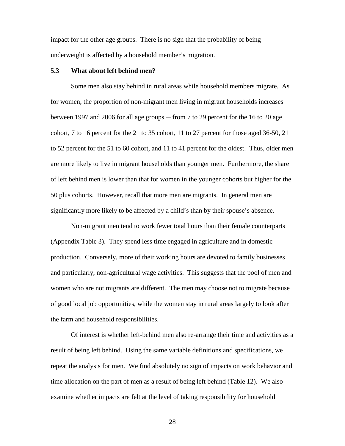impact for the other age groups. There is no sign that the probability of being underweight is affected by a household member's migration.

#### **5.3 What about left behind men?**

Some men also stay behind in rural areas while household members migrate. As for women, the proportion of non-migrant men living in migrant households increases between 1997 and 2006 for all age groups  $-$  from 7 to 29 percent for the 16 to 20 age cohort, 7 to 16 percent for the 21 to 35 cohort, 11 to 27 percent for those aged 36-50, 21 to 52 percent for the 51 to 60 cohort, and 11 to 41 percent for the oldest. Thus, older men are more likely to live in migrant households than younger men. Furthermore, the share of left behind men is lower than that for women in the younger cohorts but higher for the 50 plus cohorts. However, recall that more men are migrants. In general men are significantly more likely to be affected by a child's than by their spouse's absence.

Non-migrant men tend to work fewer total hours than their female counterparts (Appendix Table 3). They spend less time engaged in agriculture and in domestic production. Conversely, more of their working hours are devoted to family businesses and particularly, non-agricultural wage activities. This suggests that the pool of men and women who are not migrants are different. The men may choose not to migrate because of good local job opportunities, while the women stay in rural areas largely to look after the farm and household responsibilities.

Of interest is whether left-behind men also re-arrange their time and activities as a result of being left behind. Using the same variable definitions and specifications, we repeat the analysis for men. We find absolutely no sign of impacts on work behavior and time allocation on the part of men as a result of being left behind (Table 12). We also examine whether impacts are felt at the level of taking responsibility for household

28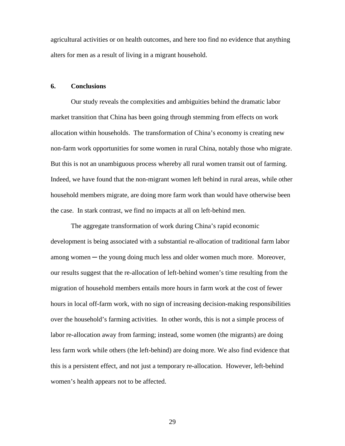agricultural activities or on health outcomes, and here too find no evidence that anything alters for men as a result of living in a migrant household.

#### **6. Conclusions**

Our study reveals the complexities and ambiguities behind the dramatic labor market transition that China has been going through stemming from effects on work allocation within households. The transformation of China's economy is creating new non-farm work opportunities for some women in rural China, notably those who migrate. But this is not an unambiguous process whereby all rural women transit out of farming. Indeed, we have found that the non-migrant women left behind in rural areas, while other household members migrate, are doing more farm work than would have otherwise been the case. In stark contrast, we find no impacts at all on left-behind men.

The aggregate transformation of work during China's rapid economic development is being associated with a substantial re-allocation of traditional farm labor among women — the young doing much less and older women much more. Moreover, our results suggest that the re-allocation of left-behind women's time resulting from the migration of household members entails more hours in farm work at the cost of fewer hours in local off-farm work, with no sign of increasing decision-making responsibilities over the household's farming activities. In other words, this is not a simple process of labor re-allocation away from farming; instead, some women (the migrants) are doing less farm work while others (the left-behind) are doing more. We also find evidence that this is a persistent effect, and not just a temporary re-allocation. However, left-behind women's health appears not to be affected.

29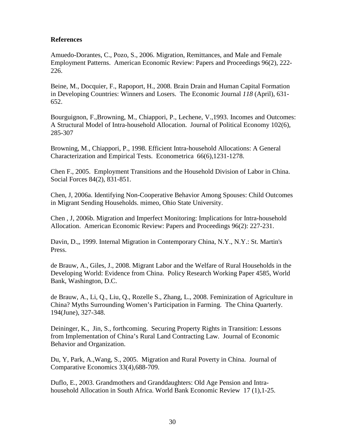## **References**

Amuedo-Dorantes, C., Pozo, S., 2006. Migration, Remittances, and Male and Female Employment Patterns. American Economic Review: Papers and Proceedings 96(2), 222- 226.

Beine, M., Docquier, F., Rapoport, H., 2008. Brain Drain and Human Capital Formation in Developing Countries: Winners and Losers. The Economic Journal *118* (April), 631- 652.

Bourguignon, F.,Browning, M., Chiappori, P., Lechene, V.,1993. Incomes and Outcomes: A Structural Model of Intra-household Allocation. Journal of Political Economy 102(6), 285-307

Browning, M., Chiappori, P., 1998. Efficient Intra-household Allocations: A General Characterization and Empirical Tests. Econometrica 66(6),1231-1278.

Chen F., 2005. Employment Transitions and the Household Division of Labor in China. Social Forces 84(2), 831-851.

Chen, J, 2006a. Identifying Non-Cooperative Behavior Among Spouses: Child Outcomes in Migrant Sending Households. mimeo, Ohio State University.

Chen , J, 2006b. Migration and Imperfect Monitoring: Implications for Intra-household Allocation. American Economic Review: Papers and Proceedings 96(2): 227-231.

Davin, D.,, 1999. Internal Migration in Contemporary China, N.Y., N.Y.: St. Martin's Press.

de Brauw, A., Giles, J., 2008. Migrant Labor and the Welfare of Rural Households in the Developing World: Evidence from China. Policy Research Working Paper 4585, World Bank, Washington, D.C.

de Brauw, A., Li, Q., Liu, Q., Rozelle S., Zhang, L., 2008. Feminization of Agriculture in China? Myths Surrounding Women's Participation in Farming. The China Quarterly. 194(June), 327-348.

Deininger, K., Jin, S., forthcoming. Securing Property Rights in Transition: Lessons from Implementation of China's Rural Land Contracting Law*.* Journal of Economic Behavior and Organization.

Du, Y, Park, A.,Wang, S., 2005. Migration and Rural Poverty in China. Journal of Comparative Economics 33(4),688-709.

Duflo, E., 2003. Grandmothers and Granddaughters: Old Age Pension and Intrahousehold Allocation in South Africa. World Bank Economic Review 17 (1),1-25.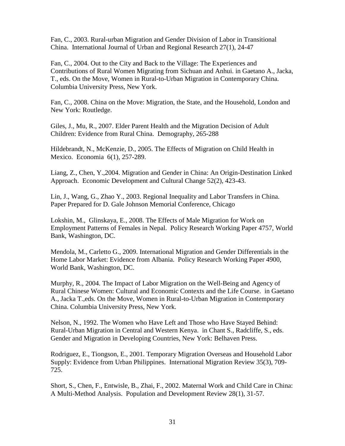Fan, C., 2003. Rural-urban Migration and Gender Division of Labor in Transitional China. International Journal of Urban and Regional Research 27(1), 24-47

Fan, C., 2004. Out to the City and Back to the Village: The Experiences and Contributions of Rural Women Migrating from Sichuan and Anhui. in Gaetano A., Jacka, T., eds. On the Move, Women in Rural-to-Urban Migration in Contemporary China. Columbia University Press, New York.

Fan, C., 2008. China on the Move: Migration, the State, and the Household, London and New York: Routledge.

Giles, J., Mu, R., 2007. Elder Parent Health and the Migration Decision of Adult Children: Evidence from Rural China. Demography, 265-288

Hildebrandt, N., McKenzie, D., 2005. The Effects of Migration on Child Health in Mexico. Economia 6(1), 257-289.

Liang, Z., Chen, Y.,2004. Migration and Gender in China: An Origin-Destination Linked Approach. Economic Development and Cultural Change 52(2), 423-43.

Lin, J., Wang, G., Zhao Y., 2003. Regional Inequality and Labor Transfers in China. Paper Prepared for D. Gale Johnson Memorial Conference, Chicago

Lokshin, M., Glinskaya, E., 2008. The Effects of Male Migration for Work on Employment Patterns of Females in Nepal. Policy Research Working Paper 4757, World Bank, Washington, DC.

Mendola, M., Carletto G., 2009. International Migration and Gender Differentials in the Home Labor Market: Evidence from Albania. Policy Research Working Paper 4900, World Bank, Washington, DC.

Murphy, R., 2004. The Impact of Labor Migration on the Well-Being and Agency of Rural Chinese Women: Cultural and Economic Contexts and the Life Course. in Gaetano A., Jacka T.,eds. On the Move, Women in Rural-to-Urban Migration in Contemporary China. Columbia University Press, New York.

Nelson, N., 1992. The Women who Have Left and Those who Have Stayed Behind: Rural-Urban Migration in Central and Western Kenya. in Chant S., Radcliffe, S., eds. Gender and Migration in Developing Countries, New York: Belhaven Press.

Rodriguez, E., Tiongson, E., 2001. Temporary Migration Overseas and Household Labor Supply: Evidence from Urban Philippines. International Migration Review 35(3), 709- 725.

Short, S., Chen, F., Entwisle, B., Zhai, F., 2002. Maternal Work and Child Care in China: A Multi-Method Analysis. Population and Development Review 28(1), 31-57.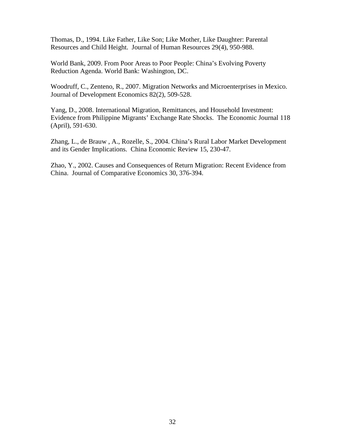Thomas, D., 1994. Like Father, Like Son; Like Mother, Like Daughter: Parental Resources and Child Height. Journal of Human Resources 29(4), 950-988.

World Bank, 2009. From Poor Areas to Poor People: China's Evolving Poverty Reduction Agenda. World Bank: Washington, DC.

Woodruff, C., Zenteno, R., 2007. Migration Networks and Microenterprises in Mexico. Journal of Development Economics 82(2), 509-528.

Yang, D., 2008. International Migration, Remittances, and Household Investment: Evidence from Philippine Migrants' Exchange Rate Shocks. The Economic Journal 118 (April), 591-630.

Zhang, L., de Brauw , A., Rozelle, S., 2004. China's Rural Labor Market Development and its Gender Implications. China Economic Review 15, 230-47.

Zhao, Y., 2002. Causes and Consequences of Return Migration: Recent Evidence from China. Journal of Comparative Economics 30, 376-394.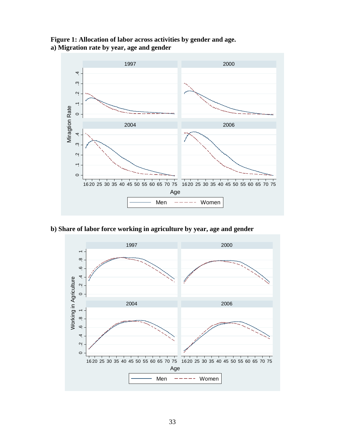



**b) Share of labor force working in agriculture by year, age and gender**

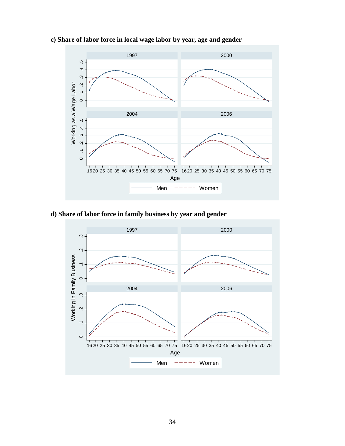

## **c) Share of labor force in local wage labor by year, age and gender**

# **d) Share of labor force in family business by year and gender**

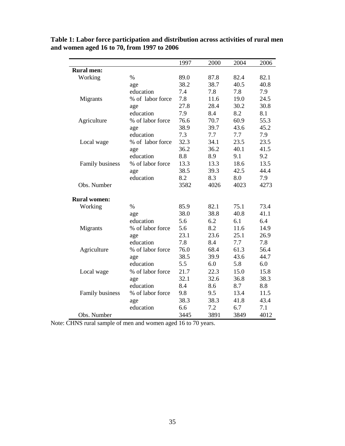|                     |                  | 1997 | 2000 | 2004 | 2006 |
|---------------------|------------------|------|------|------|------|
| <b>Rural men:</b>   |                  |      |      |      |      |
| Working             | $\%$             | 89.0 | 87.8 | 82.4 | 82.1 |
|                     | age              | 38.2 | 38.7 | 40.5 | 40.8 |
|                     | education        | 7.4  | 7.8  | 7.8  | 7.9  |
| Migrants            | % of labor force | 7.8  | 11.6 | 19.0 | 24.5 |
|                     | age              | 27.8 | 28.4 | 30.2 | 30.8 |
|                     | education        | 7.9  | 8.4  | 8.2  | 8.1  |
| Agriculture         | % of labor force | 76.6 | 70.7 | 60.9 | 55.3 |
|                     | age              | 38.9 | 39.7 | 43.6 | 45.2 |
|                     | education        | 7.3  | 7.7  | 7.7  | 7.9  |
| Local wage          | % of labor force | 32.3 | 34.1 | 23.5 | 23.5 |
|                     | age              | 36.2 | 36.2 | 40.1 | 41.5 |
|                     | education        | 8.8  | 8.9  | 9.1  | 9.2  |
| Family business     | % of labor force | 13.3 | 13.3 | 18.6 | 13.5 |
|                     | age              | 38.5 | 39.3 | 42.5 | 44.4 |
|                     | education        | 8.2  | 8.3  | 8.0  | 7.9  |
| Obs. Number         |                  | 3582 | 4026 | 4023 | 4273 |
| <b>Rural women:</b> |                  |      |      |      |      |
| Working             | $\%$             | 85.9 | 82.1 | 75.1 | 73.4 |
|                     | age              | 38.0 | 38.8 | 40.8 | 41.1 |
|                     | education        | 5.6  | 6.2  | 6.1  | 6.4  |
| Migrants            | % of labor force | 5.6  | 8.2  | 11.6 | 14.9 |
|                     | age              | 23.1 | 23.6 | 25.1 | 26.9 |
|                     | education        | 7.8  | 8.4  | 7.7  | 7.8  |
| Agriculture         | % of labor force | 76.0 | 68.4 | 61.3 | 56.4 |
|                     | age              | 38.5 | 39.9 | 43.6 | 44.7 |
|                     | education        | 5.5  | 6.0  | 5.8  | 6.0  |
| Local wage          | % of labor force | 21.7 | 22.3 | 15.0 | 15.8 |
|                     | age              | 32.1 | 32.6 | 36.8 | 38.3 |
|                     | education        | 8.4  | 8.6  | 8.7  | 8.8  |
| Family business     | % of labor force | 9.8  | 9.5  | 13.4 | 11.5 |
|                     | age              | 38.3 | 38.3 | 41.8 | 43.4 |
|                     | education        | 6.6  | 7.2  | 6.7  | 7.1  |
| Obs. Number         |                  | 3445 | 3891 | 3849 | 4012 |

**Table 1: Labor force participation and distribution across activities of rural men and women aged 16 to 70, from 1997 to 2006**

Note: CHNS rural sample of men and women aged 16 to 70 years.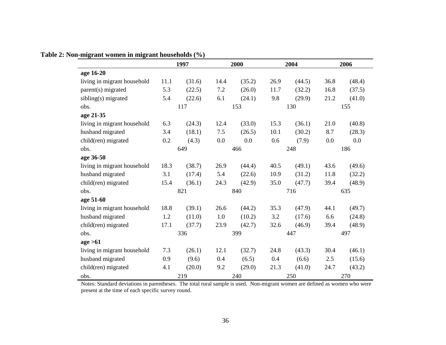|                             |      | 1997   |      | 2000   |      | 2004   |      | 2006   |
|-----------------------------|------|--------|------|--------|------|--------|------|--------|
| age 16-20                   |      |        |      |        |      |        |      |        |
| living in migrant household | 11.1 | (31.6) | 14.4 | (35.2) | 26.9 | (44.5) | 36.8 | (48.4) |
| parent(s) migrated          | 5.3  | (22.5) | 7.2  | (26.0) | 11.7 | (32.2) | 16.8 | (37.5) |
| sibling(s) migrated         | 5.4  | (22.6) | 6.1  | (24.1) | 9.8  | (29.9) | 21.2 | (41.0) |
| obs.                        |      | 117    |      | 153    |      | 130    |      | 155    |
| age 21-35                   |      |        |      |        |      |        |      |        |
| living in migrant household | 6.3  | (24.3) | 12.4 | (33.0) | 15.3 | (36.1) | 21.0 | (40.8) |
| husband migrated            | 3.4  | (18.1) | 7.5  | (26.5) | 10.1 | (30.2) | 8.7  | (28.3) |
| child(ren) migrated         | 0.2  | (4.3)  | 0.0  | 0.0    | 0.6  | (7.9)  | 0.0  | 0.0    |
| obs.                        |      | 649    |      | 466    |      | 248    |      | 186    |
| age 36-50                   |      |        |      |        |      |        |      |        |
| living in migrant household | 18.3 | (38.7) | 26.9 | (44.4) | 40.5 | (49.1) | 43.6 | (49.6) |
| husband migrated            | 3.1  | (17.4) | 5.4  | (22.6) | 10.9 | (31.2) | 11.8 | (32.2) |
| child(ren) migrated         | 15.4 | (36.1) | 24.3 | (42.9) | 35.0 | (47.7) | 39.4 | (48.9) |
| obs.                        |      | 821    |      | 840    |      | 716    |      | 635    |
| age 51-60                   |      |        |      |        |      |        |      |        |
| living in migrant household | 18.8 | (39.1) | 26.6 | (44.2) | 35.3 | (47.9) | 44.1 | (49.7) |
| husband migrated            | 1.2  | (11.0) | 1.0  | (10.2) | 3.2  | (17.6) | 6.6  | (24.8) |
| child(ren) migrated         | 17.1 | (37.7) | 23.9 | (42.7) | 32.6 | (46.9) | 39.4 | (48.9) |
| obs.                        |      | 336    |      | 399    |      | 447    |      | 497    |
| age > 61                    |      |        |      |        |      |        |      |        |
| living in migrant household | 7.3  | (26.1) | 12.1 | (32.7) | 24.8 | (43.3) | 30.4 | (46.1) |
| husband migrated            | 0.9  | (9.6)  | 0.4  | (6.5)  | 0.4  | (6.6)  | 2.5  | (15.6) |
| child(ren) migrated         | 4.1  | (20.0) | 9.2  | (29.0) | 21.3 | (41.0) | 24.7 | (43.2) |
| obs.                        |      | 219    |      | 240    |      | 250    |      | 270    |

## **Table 2: Non-migrant women in migrant households (%)**

Notes: Standard deviations in parentheses. The total rural sample is used. Non-migrant women are defined as women who were present at the time of each specific survey round.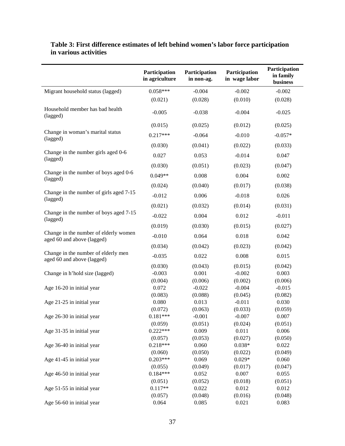|                                                                     | Participation<br>in agriculture | Participation<br>in non-ag. | Participation<br>in wage labor | Participation<br>in family<br>business |
|---------------------------------------------------------------------|---------------------------------|-----------------------------|--------------------------------|----------------------------------------|
| Migrant household status (lagged)                                   | $0.058***$                      | $-0.004$                    | $-0.002$                       | $-0.002$                               |
|                                                                     | (0.021)                         | (0.028)                     | (0.010)                        | (0.028)                                |
| Household member has bad health<br>(lagged)                         | $-0.005$                        | $-0.038$                    | $-0.004$                       | $-0.025$                               |
|                                                                     | (0.015)                         | (0.025)                     | (0.012)                        | (0.025)                                |
| Change in woman's marital status<br>(lagged)                        | $0.217***$                      | $-0.064$                    | $-0.010$                       | $-0.057*$                              |
|                                                                     | (0.030)                         | (0.041)                     | (0.022)                        | (0.033)                                |
| Change in the number girls aged 0-6<br>(lagged)                     | 0.027                           | 0.053                       | $-0.014$                       | 0.047                                  |
|                                                                     | (0.030)                         | (0.051)                     | (0.023)                        | (0.047)                                |
| Change in the number of boys aged 0-6<br>(lagged)                   | $0.049**$                       | 0.008                       | 0.004                          | 0.002                                  |
|                                                                     | (0.024)                         | (0.040)                     | (0.017)                        | (0.038)                                |
| Change in the number of girls aged 7-15<br>(lagged)                 | $-0.012$                        | 0.006                       | $-0.018$                       | 0.026                                  |
|                                                                     | (0.021)                         | (0.032)                     | (0.014)                        | (0.031)                                |
| Change in the number of boys aged 7-15<br>(lagged)                  | $-0.022$                        | 0.004                       | 0.012                          | $-0.011$                               |
|                                                                     | (0.019)                         | (0.030)                     | (0.015)                        | (0.027)                                |
| Change in the number of elderly women<br>aged 60 and above (lagged) | $-0.010$                        | 0.064                       | 0.018                          | 0.042                                  |
|                                                                     | (0.034)                         | (0.042)                     | (0.023)                        | (0.042)                                |
| Change in the number of elderly men<br>aged 60 and above (lagged)   | $-0.035$                        | 0.022                       | 0.008                          | 0.015                                  |
|                                                                     | (0.030)                         | (0.043)                     | (0.015)                        | (0.042)                                |
| Change in h'hold size (lagged)                                      | $-0.003$                        | 0.001                       | $-0.002$                       | 0.003                                  |
|                                                                     | (0.004)                         | (0.006)                     | (0.002)                        | (0.006)                                |
| Age 16-20 in initial year                                           | 0.072                           | $-0.022$                    | $-0.004$                       | $-0.015$                               |
|                                                                     | (0.083)                         | (0.088)                     | (0.045)                        | (0.082)                                |
| Age 21-25 in initial year                                           | 0.080                           | 0.013                       | $-0.011$                       | 0.030                                  |
| Age 26-30 in initial year                                           | (0.072)<br>$0.181***$           | (0.063)<br>$-0.001$         | (0.033)<br>$-0.007$            | (0.059)<br>0.007                       |
|                                                                     | (0.059)                         | (0.051)                     | (0.024)                        | (0.051)                                |
| Age 31-35 in initial year                                           | $0.222***$                      | 0.009                       | 0.011                          | 0.006                                  |
|                                                                     | (0.057)                         | (0.053)                     | (0.027)                        | (0.050)                                |
| Age 36-40 in initial year                                           | $0.218***$                      | 0.060                       | $0.038*$                       | 0.022                                  |
|                                                                     | (0.060)                         | (0.050)                     | (0.022)                        | (0.049)                                |
| Age 41-45 in initial year                                           | $0.203***$                      | 0.069                       | $0.029*$                       | 0.060                                  |
|                                                                     | (0.055)                         | (0.049)                     | (0.017)                        | (0.047)                                |
| Age 46-50 in initial year                                           | $0.184***$                      | 0.052                       | 0.007                          | 0.055                                  |
|                                                                     | (0.051)                         | (0.052)                     | (0.018)                        | (0.051)                                |
| Age 51-55 in initial year                                           | $0.117**$                       | 0.022                       | 0.012                          | 0.012                                  |
|                                                                     | (0.057)<br>0.064                | (0.048)                     | (0.016)                        | (0.048)                                |
| Age 56-60 in initial year                                           |                                 | 0.085                       | 0.021                          | 0.083                                  |

## **Table 3: First difference estimates of left behind women's labor force participation in various activities**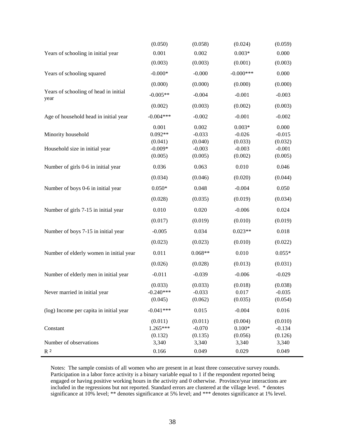|                                               | (0.050)            | (0.058)           | (0.024)              | (0.059)           |
|-----------------------------------------------|--------------------|-------------------|----------------------|-------------------|
| Years of schooling in initial year            | 0.001              | 0.002             | $0.003*$             | 0.000             |
|                                               | (0.003)            | (0.003)           | (0.001)              | (0.003)           |
| Years of schooling squared                    | $-0.000*$          | $-0.000$          | $-0.000$ ***         | 0.000             |
|                                               | (0.000)            | (0.000)           | (0.000)              | (0.000)           |
| Years of schooling of head in initial<br>year | $-0.005**$         | $-0.004$          | $-0.001$             | $-0.003$          |
|                                               | (0.002)            | (0.003)           | (0.002)              | (0.003)           |
| Age of household head in initial year         | $-0.004***$        | $-0.002$          | $-0.001$             | $-0.002$          |
| Minority household                            | 0.001<br>$0.092**$ | 0.002<br>$-0.033$ | $0.003*$<br>$-0.026$ | 0.000<br>$-0.015$ |
|                                               | (0.041)            | (0.040)           | (0.033)              | (0.032)           |
| Household size in initial year                | $-0.009*$          | $-0.003$          | $-0.003$             | $-0.001$          |
|                                               | (0.005)            | (0.005)           | (0.002)              | (0.005)           |
| Number of girls 0-6 in initial year           | 0.036              | 0.063             | 0.010                | 0.046             |
|                                               | (0.034)            | (0.046)           | (0.020)              | (0.044)           |
| Number of boys 0-6 in initial year            | $0.050*$           | 0.048             | $-0.004$             | 0.050             |
|                                               | (0.028)            | (0.035)           | (0.019)              | (0.034)           |
| Number of girls 7-15 in initial year          | 0.010              | 0.020             | $-0.006$             | 0.024             |
|                                               | (0.017)            | (0.019)           | (0.010)              | (0.019)           |
| Number of boys 7-15 in initial year           | $-0.005$           | 0.034             | $0.023**$            | 0.018             |
|                                               | (0.023)            | (0.023)           | (0.010)              | (0.022)           |
| Number of elderly women in initial year       | 0.011              | $0.068**$         | 0.010                | $0.055*$          |
|                                               | (0.026)            | (0.028)           | (0.013)              | (0.031)           |
| Number of elderly men in initial year         | $-0.011$           | $-0.039$          | $-0.006$             | $-0.029$          |
|                                               | (0.033)            | (0.033)           | (0.018)              | (0.038)           |
| Never married in initial year                 | $-0.240***$        | $-0.033$          | 0.017                | $-0.035$          |
|                                               | (0.045)            | (0.062)           | (0.035)              | (0.054)           |
| (log) Income per capita in initial year       | $-0.041***$        | 0.015             | $-0.004$             | 0.016             |
|                                               | (0.011)            | (0.011)           | (0.004)              | (0.010)           |
| Constant                                      | $1.265***$         | $-0.070$          | $0.100*$             | $-0.134$          |
|                                               | (0.132)            | (0.135)           | (0.056)              | (0.126)           |
| Number of observations                        | 3,340              | 3,340             | 3,340                | 3,340             |
| $\rm R$ $^2$                                  | 0.166              | 0.049             | 0.029                | 0.049             |

Notes: The sample consists of all women who are present in at least three consecutive survey rounds. Participation in a labor force activity is a binary variable equal to 1 if the respondent reported being engaged or having positive working hours in the activity and 0 otherwise. Province/year interactions are included in the regressions but not reported. Standard errors are clustered at the village level. \* denotes significance at 10% level; \*\* denotes significance at 5% level; and \*\*\* denotes significance at 1% level.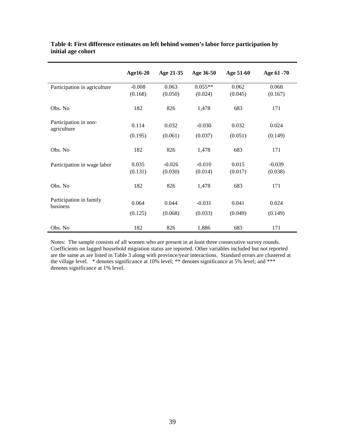|                                      | Age16-20 | Age 21-35 | Age 36-50 | Age 51-60 | Age 61 -70 |
|--------------------------------------|----------|-----------|-----------|-----------|------------|
| Participation in agriculture         | $-0.008$ | 0.063     | $0.055**$ | 0.062     | 0.068      |
|                                      | (0.168)  | (0.050)   | (0.024)   | (0.045)   | (0.167)    |
| Obs. No                              | 182      | 826       | 1,478     | 683       | 171        |
| Participation in non-<br>agriculture | 0.114    | 0.032     | $-0.030$  | 0.032     | 0.024      |
|                                      | (0.195)  | (0.061)   | (0.037)   | (0.051)   | (0.149)    |
| Obs. No                              | 182      | 826       | 1,478     | 683       | 171        |
| Participation in wage labor          | 0.035    | $-0.026$  | $-0.010$  | 0.015     | $-0.039$   |
|                                      | (0.131)  | (0.030)   | (0.014)   | (0.017)   | (0.038)    |
| Obs. No                              | 182      | 826       | 1,478     | 683       | 171        |
| Participation in family<br>business  | 0.064    | 0.044     | $-0.031$  | 0.041     | 0.024      |
|                                      | (0.125)  | (0.068)   | (0.033)   | (0.049)   | (0.149)    |
| Obs. No                              | 182      | 826       | 1,886     | 683       | 171        |

#### **Table 4: First difference estimates on left behind women's labor force participation by initial age cohort**

Notes: The sample consists of all women who are present in at least three consecutive survey rounds. Coefficients on lagged household migration status are reported. Other variables included but not reported are the same as are listed in Table 3 along with province/year interactions. Standard errors are clustered at the village level. \* denotes significance at 10% level; \*\* denotes significance at 5% level; and \*\*\* denotes significance at 1% level.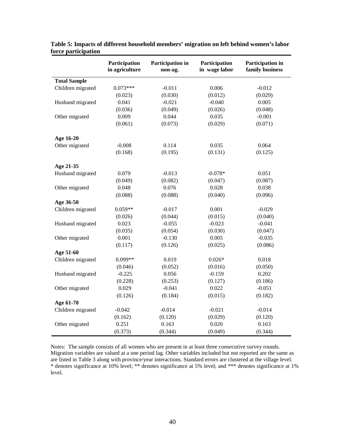|                     | Participation<br>in agriculture | Participation in<br>non-ag. | Participation<br>in wage labor | Participation in<br>family business |
|---------------------|---------------------------------|-----------------------------|--------------------------------|-------------------------------------|
| <b>Total Sample</b> |                                 |                             |                                |                                     |
| Children migrated   | $0.073***$                      | $-0.011$                    | 0.006                          | $-0.012$                            |
|                     | (0.023)                         | (0.030)                     | (0.012)                        | (0.029)                             |
| Husband migrated    | 0.041                           | $-0.021$                    | $-0.040$                       | 0.005                               |
|                     | (0.036)                         | (0.049)                     | (0.026)                        | (0.048)                             |
| Other migrated      | 0.009                           | 0.044                       | 0.035                          | $-0.001$                            |
|                     | (0.061)                         | (0.073)                     | (0.029)                        | (0.071)                             |
| Age 16-20           |                                 |                             |                                |                                     |
| Other migrated      | $-0.008$                        | 0.114                       | 0.035                          | 0.064                               |
|                     | (0.168)                         | (0.195)                     | (0.131)                        | (0.125)                             |
| Age 21-35           |                                 |                             |                                |                                     |
| Husband migrated    | 0.079                           | $-0.013$                    | $-0.078*$                      | 0.051                               |
|                     | (0.049)                         | (0.082)                     | (0.047)                        | (0.087)                             |
| Other migrated      | 0.048                           | 0.076                       | 0.028                          | 0.038                               |
|                     | (0.088)                         | (0.088)                     | (0.040)                        | (0.096)                             |
| Age 36-50           |                                 |                             |                                |                                     |
| Children migrated   | $0.059**$                       | $-0.017$                    | 0.001                          | $-0.029$                            |
|                     | (0.026)                         | (0.044)                     | (0.015)                        | (0.040)                             |
| Husband migrated    | 0.023                           | $-0.055$                    | $-0.023$                       | $-0.041$                            |
|                     | (0.035)                         | (0.054)                     | (0.030)                        | (0.047)                             |
| Other migrated      | 0.001                           | $-0.130$                    | 0.005                          | $-0.035$                            |
|                     | (0.117)                         | (0.126)                     | (0.025)                        | (0.086)                             |
| Age 51-60           |                                 |                             |                                |                                     |
| Children migrated   | $0.099**$                       | 0.019                       | $0.026*$                       | 0.018                               |
|                     | (0.046)                         | (0.052)                     | (0.016)                        | (0.050)                             |
| Husband migrated    | $-0.225$                        | 0.056                       | $-0.159$                       | 0.202                               |
|                     | (0.228)                         | (0.253)                     | (0.127)                        | (0.186)                             |
| Other migrated      | 0.029                           | $-0.041$                    | 0.022                          | $-0.051$                            |
|                     | (0.126)                         | (0.184)                     | (0.015)                        | (0.182)                             |
| Age 61-70           |                                 |                             |                                |                                     |
| Children migrated   | $-0.042$                        | $-0.014$                    | $-0.021$                       | $-0.014$                            |
|                     | (0.162)                         | (0.120)                     | (0.029)                        | (0.120)                             |
| Other migrated      | 0.251                           | 0.163                       | 0.020                          | 0.163                               |
|                     | (0.373)                         | (0.344)                     | (0.049)                        | (0.344)                             |

**Table 5: Impacts of different household members' migration on left behind women's labor force participation**

Notes: The sample consists of all women who are present in at least three consecutive survey rounds. Migration variables are valued at a one period lag. Other variables included but not reported are the same as are listed in Table 3 along with province/year interactions. Standard errors are clustered at the village level. \* denotes significance at 10% level; \*\* denotes significance at 5% level; and \*\*\* denotes significance at 1% level.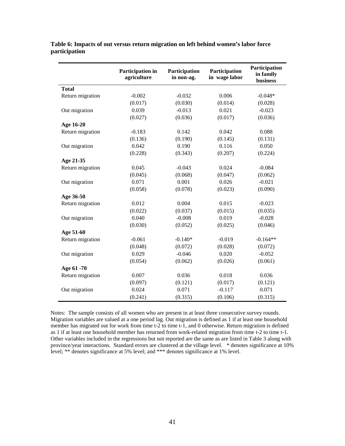**Table 6: Impacts of out versus return migration on left behind women's labor force participation**

|                  | Participation in<br>agriculture | Participation<br>in non-ag. | Participation<br>in wage labor | Participation<br>in family<br>business |
|------------------|---------------------------------|-----------------------------|--------------------------------|----------------------------------------|
| <b>Total</b>     |                                 |                             |                                |                                        |
| Return migration | $-0.002$                        | $-0.032$                    | 0.006                          | $-0.048*$                              |
|                  | (0.017)                         | (0.030)                     | (0.014)                        | (0.028)                                |
| Out migration    | 0.039                           | $-0.013$                    | 0.021                          | $-0.023$                               |
|                  | (0.027)                         | (0.036)                     | (0.017)                        | (0.036)                                |
| Age 16-20        |                                 |                             |                                |                                        |
| Return migration | $-0.183$                        | 0.142                       | 0.042                          | 0.088                                  |
|                  | (0.136)                         | (0.190)                     | (0.145)                        | (0.131)                                |
| Out migration    | 0.042                           | 0.190                       | 0.116                          | 0.050                                  |
|                  | (0.228)                         | (0.343)                     | (0.207)                        | (0.224)                                |
| Age 21-35        |                                 |                             |                                |                                        |
| Return migration | 0.045                           | $-0.043$                    | 0.024                          | $-0.084$                               |
|                  | (0.045)                         | (0.068)                     | (0.047)                        | (0.062)                                |
| Out migration    | 0.071                           | 0.001                       | 0.026                          | $-0.021$                               |
|                  | (0.058)                         | (0.078)                     | (0.023)                        | (0.090)                                |
| Age 36-50        |                                 |                             |                                |                                        |
| Return migration | 0.012                           | 0.004                       | 0.015                          | $-0.023$                               |
|                  | (0.022)                         | (0.037)                     | (0.015)                        | (0.035)                                |
| Out migration    | 0.040                           | $-0.008$                    | 0.019                          | $-0.028$                               |
|                  | (0.030)                         | (0.052)                     | (0.025)                        | (0.046)                                |
| Age 51-60        |                                 |                             |                                |                                        |
| Return migration | $-0.061$                        | $-0.140*$                   | $-0.019$                       | $-0.164**$                             |
|                  | (0.048)                         | (0.072)                     | (0.028)                        | (0.072)                                |
| Out migration    | 0.029                           | $-0.046$                    | 0.020                          | $-0.052$                               |
|                  | (0.054)                         | (0.062)                     | (0.026)                        | (0.061)                                |
| Age 61 -70       |                                 |                             |                                |                                        |
| Return migration | 0.007                           | 0.036                       | 0.018                          | 0.036                                  |
|                  | (0.097)                         | (0.121)                     | (0.017)                        | (0.121)                                |
| Out migration    | 0.024                           | 0.071                       | $-0.117$                       | 0.071                                  |
|                  | (0.241)                         | (0.315)                     | (0.106)                        | (0.315)                                |

Notes: The sample consists of all women who are present in at least three consecutive survey rounds. Migration variables are valued at a one period lag. Out migration is defined as 1 if at least one household member has migrated out for work from time t-2 to time t-1, and 0 otherwise. Return migration is defined as 1 if at least one household member has returned from work-related migration from time t-2 to time t-1. Other variables included in the regressions but not reported are the same as are listed in Table 3 along with province/year interactions. Standard errors are clustered at the village level. \* denotes significance at 10% level; \*\* denotes significance at 5% level; and \*\*\* denotes significance at 1% level.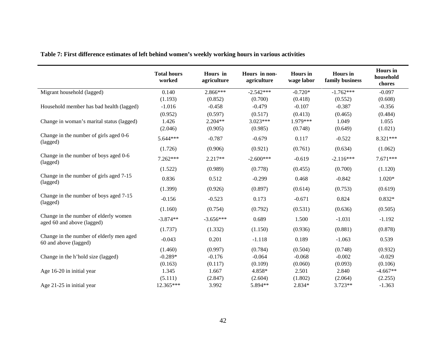|                                                                     | <b>Total hours</b><br>worked | Hours in<br>agriculture | Hours in non-<br>agriculture | <b>Hours</b> in<br>wage labor | <b>Hours</b> in<br>family business | <b>Hours</b> in<br>household<br>chores |
|---------------------------------------------------------------------|------------------------------|-------------------------|------------------------------|-------------------------------|------------------------------------|----------------------------------------|
| Migrant household (lagged)                                          | 0.140                        | 2.866***                | $-2.542***$                  | $-0.720*$                     | $-1.762***$                        | $-0.097$                               |
|                                                                     | (1.193)                      | (0.852)                 | (0.700)                      | (0.418)                       | (0.552)                            | (0.608)                                |
| Household member has bad health (lagged)                            | $-1.016$                     | $-0.458$                | $-0.479$                     | $-0.107$                      | $-0.387$                           | $-0.356$                               |
|                                                                     | (0.952)                      | (0.597)                 | (0.517)                      | (0.413)                       | (0.465)                            | (0.484)                                |
| Change in woman's marital status (lagged)                           | 1.426                        | $2.204**$               | $3.023***$                   | 1.979***                      | 1.049                              | 1.055                                  |
|                                                                     | (2.046)                      | (0.905)                 | (0.985)                      | (0.748)                       | (0.649)                            | (1.021)                                |
| Change in the number of girls aged 0-6<br>(lagged)                  | 5.644***                     | $-0.787$                | $-0.679$                     | 0.117                         | $-0.522$                           | 8.321***                               |
|                                                                     | (1.726)                      | (0.906)                 | (0.921)                      | (0.761)                       | (0.634)                            | (1.062)                                |
| Change in the number of boys aged 0-6<br>(lagged)                   | 7.262***                     | $2.217**$               | $-2.600***$                  | $-0.619$                      | $-2.116***$                        | $7.671***$                             |
|                                                                     | (1.522)                      | (0.989)                 | (0.778)                      | (0.455)                       | (0.700)                            | (1.120)                                |
| Change in the number of girls aged 7-15<br>(lagged)                 | 0.836                        | 0.512                   | $-0.299$                     | 0.468                         | $-0.842$                           | $1.020*$                               |
|                                                                     | (1.399)                      | (0.926)                 | (0.897)                      | (0.614)                       | (0.753)                            | (0.619)                                |
| Change in the number of boys aged 7-15<br>(lagged)                  | $-0.156$                     | $-0.523$                | 0.173                        | $-0.671$                      | 0.824                              | $0.832*$                               |
|                                                                     | (1.160)                      | (0.754)                 | (0.792)                      | (0.531)                       | (0.636)                            | (0.505)                                |
| Change in the number of elderly women<br>aged 60 and above (lagged) | $-3.874**$                   | $-3.656***$             | 0.689                        | 1.500                         | $-1.031$                           | $-1.192$                               |
|                                                                     | (1.737)                      | (1.332)                 | (1.150)                      | (0.936)                       | (0.881)                            | (0.878)                                |
| Change in the number of elderly men aged<br>60 and above (lagged)   | $-0.043$                     | 0.201                   | $-1.118$                     | 0.189                         | $-1.063$                           | 0.539                                  |
|                                                                     | (1.460)                      | (0.997)                 | (0.784)                      | (0.504)                       | (0.748)                            | (0.932)                                |
| Change in the h'hold size (lagged)                                  | $-0.289*$                    | $-0.176$                | $-0.064$                     | $-0.068$                      | $-0.002$                           | $-0.029$                               |
|                                                                     | (0.163)                      | (0.117)                 | (0.109)                      | (0.060)                       | (0.093)                            | (0.106)                                |
| Age 16-20 in initial year                                           | 1.345                        | 1.667                   | 4.858*                       | 2.501                         | 2.840                              | $-4.667**$                             |
|                                                                     | (5.111)                      | (2.847)                 | (2.604)                      | (1.802)                       | (2.064)                            | (2.255)                                |
| Age 21-25 in initial year                                           | 12.365***                    | 3.992                   | 5.894**                      | 2.834*                        | $3.723**$                          | $-1.363$                               |

## **Table 7: First difference estimates of left behind women's weekly working hours in various activities**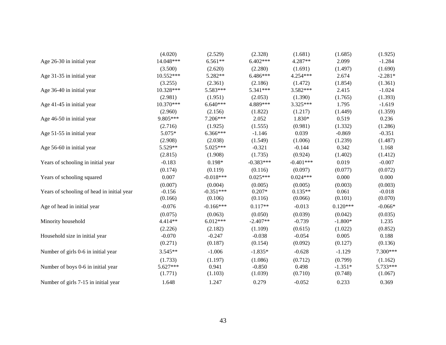|                                            | (4.020)    | (2.529)     | (2.328)     | (1.681)     | (1.685)    | (1.925)   |
|--------------------------------------------|------------|-------------|-------------|-------------|------------|-----------|
| Age 26-30 in initial year                  | 14.048***  | $6.561**$   | $6.402***$  | 4.287**     | 2.099      | $-1.284$  |
|                                            | (3.500)    | (2.620)     | (2.280)     | (1.691)     | (1.497)    | (1.690)   |
| Age 31-35 in initial year                  | 10.552***  | 5.282**     | 6.486***    | 4.254***    | 2.674      | $-2.281*$ |
|                                            | (3.255)    | (2.361)     | (2.186)     | (1.472)     | (1.854)    | (1.361)   |
| Age 36-40 in initial year                  | 10.328***  | 5.583***    | 5.341***    | 3.582***    | 2.415      | $-1.024$  |
|                                            | (2.981)    | (1.951)     | (2.053)     | (1.390)     | (1.765)    | (1.393)   |
| Age 41-45 in initial year                  | 10.370***  | $6.640***$  | 4.889***    | 3.325***    | 1.795      | $-1.619$  |
|                                            | (2.960)    | (2.156)     | (1.822)     | (1.217)     | (1.449)    | (1.359)   |
| Age 46-50 in initial year                  | 9.805***   | 7.206***    | 2.052       | 1.830*      | 0.519      | 0.236     |
|                                            | (2.716)    | (1.925)     | (1.555)     | (0.981)     | (1.332)    | (1.286)   |
| Age 51-55 in initial year                  | 5.075*     | 6.366***    | $-1.146$    | 0.039       | $-0.869$   | $-0.351$  |
|                                            | (2.908)    | (2.038)     | (1.549)     | (1.006)     | (1.239)    | (1.487)   |
| Age 56-60 in initial year                  | 5.529**    | 5.025***    | $-0.321$    | $-0.144$    | 0.342      | 1.168     |
|                                            | (2.815)    | (1.908)     | (1.735)     | (0.924)     | (1.402)    | (1.412)   |
| Years of schooling in initial year         | $-0.183$   | $0.198*$    | $-0.383***$ | $-0.401***$ | 0.019      | $-0.007$  |
|                                            | (0.174)    | (0.119)     | (0.116)     | (0.097)     | (0.077)    | (0.072)   |
| Years of schooling squared                 | 0.007      | $-0.018***$ | $0.025***$  | $0.024***$  | 0.000      | 0.000     |
|                                            | (0.007)    | (0.004)     | (0.005)     | (0.005)     | (0.003)    | (0.003)   |
| Years of schooling of head in initial year | $-0.156$   | $-0.351***$ | $0.207*$    | $0.135**$   | 0.061      | $-0.018$  |
|                                            | (0.166)    | (0.106)     | (0.116)     | (0.066)     | (0.101)    | (0.070)   |
| Age of head in initial year                | $-0.076$   | $-0.166***$ | $0.117**$   | $-0.013$    | $0.120***$ | $-0.066*$ |
|                                            | (0.075)    | (0.063)     | (0.050)     | (0.039)     | (0.042)    | (0.035)   |
| Minority household                         | 4.414**    | $6.012***$  | $-2.407**$  | $-0.739$    | $-1.800*$  | 1.235     |
|                                            | (2.226)    | (2.182)     | (1.109)     | (0.615)     | (1.022)    | (0.852)   |
| Household size in initial year             | $-0.070$   | $-0.247$    | $-0.038$    | $-0.054$    | 0.005      | 0.188     |
|                                            | (0.271)    | (0.187)     | (0.154)     | (0.092)     | (0.127)    | (0.136)   |
| Number of girls 0-6 in initial year        | 3.545**    | $-1.006$    | $-1.835*$   | $-0.628$    | $-1.129$   | 7.300***  |
|                                            | (1.733)    | (1.197)     | (1.086)     | (0.712)     | (0.799)    | (1.162)   |
| Number of boys 0-6 in initial year         | $5.627***$ | 0.941       | $-0.850$    | 0.498       | $-1.351*$  | 5.733***  |
|                                            | (1.771)    | (1.103)     | (1.039)     | (0.710)     | (0.748)    | (1.067)   |
| Number of girls 7-15 in initial year       | 1.648      | 1.247       | 0.279       | $-0.052$    | 0.233      | 0.369     |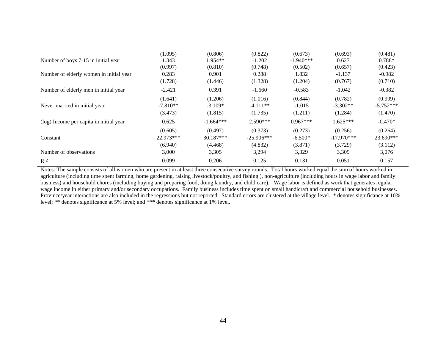|                                         | (1.095)    | (0.806)     | (0.822)      | (0.673)     | (0.693)      | (0.481)     |
|-----------------------------------------|------------|-------------|--------------|-------------|--------------|-------------|
| Number of boys 7-15 in initial year     | 1.343      | $1.954**$   | $-1.202$     | $-1.940***$ | 0.627        | $0.788*$    |
|                                         | (0.997)    | (0.810)     | (0.748)      | (0.502)     | (0.657)      | (0.423)     |
| Number of elderly women in initial year | 0.283      | 0.901       | 0.288        | 1.832       | $-1.137$     | $-0.982$    |
|                                         | (1.728)    | (1.446)     | (1.328)      | (1.204)     | (0.767)      | (0.710)     |
| Number of elderly men in initial year   | $-2.421$   | 0.391       | $-1.660$     | $-0.583$    | $-1.042$     | $-0.382$    |
|                                         | (1.641)    | (1.206)     | (1.016)      | (0.844)     | (0.782)      | (0.999)     |
| Never married in initial year           | $-7.810**$ | $-3.109*$   | $-4.111**$   | $-1.015$    | $-3.302**$   | $-5.752***$ |
|                                         | (3.473)    | (1.815)     | (1.735)      | (1.211)     | (1.284)      | (1.470)     |
| (log) Income per capita in initial year | 0.625      | $-1.664***$ | $2.590***$   | $0.967***$  | $1.625***$   | $-0.470*$   |
|                                         | (0.605)    | (0.497)     | (0.373)      | (0.273)     | (0.256)      | (0.264)     |
| Constant                                | 22.973***  | 30.187***   | $-25.906***$ | $-6.500*$   | $-17.970***$ | 23.690***   |
|                                         | (6.940)    | (4.468)     | (4.832)      | (3.871)     | (3.729)      | (3.112)     |
| Number of observations                  | 3,000      | 3,305       | 3,294        | 3,329       | 3,309        | 3,076       |
| R <sup>2</sup>                          | 0.099      | 0.206       | 0.125        | 0.131       | 0.051        | 0.157       |

Notes: The sample consists of all women who are present in at least three consecutive survey rounds. Total hours worked equal the sum of hours worked in agriculture (including time spent farming, home gardening, raising livestock/poultry, and fishing.), non-agriculture (including hours in wage labor and family business) and household chores (including buying and preparing food, doing laundry, and child care). Wage labor is defined as work that generates regular wage income in either primary and/or secondary occupations. Family business includes time spent on small handicraft and commercial household businesses. Province/year interactions are also included in the regressions but not reported. Standard errors are clustered at the village level. \* denotes significance at 10% level; \*\* denotes significance at 5% level; and \*\*\* denotes significance at 1% level.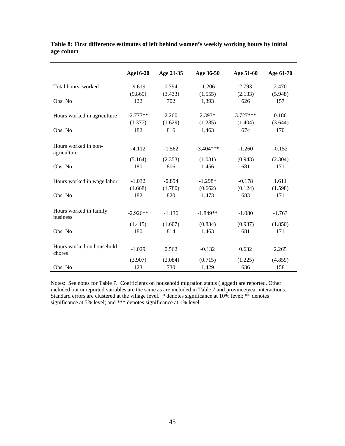|                                     | Age16-20   | Age 21-35 | Age 36-50   | Age 51-60  | Age 61-70 |
|-------------------------------------|------------|-----------|-------------|------------|-----------|
| Total hours worked                  | $-9.619$   | 0.794     | $-1.206$    | 2.793      | 2.470     |
|                                     | (9.865)    | (3.433)   | (1.555)     | (2.133)    | (5.948)   |
| Obs. No                             | 122        | 702       | 1,393       | 626        | 157       |
| Hours worked in agriculture         | $-2.777**$ | 2.260     | $2.393*$    | $3.727***$ | 0.186     |
|                                     | (1.377)    | (1.629)   | (1.235)     | (1.404)    | (3.644)   |
| Obs. No                             | 182        | 816       | 1,463       | 674        | 170       |
| Hours worked in non-<br>agriculture | $-4.112$   | $-1.562$  | $-3.404***$ | $-1.260$   | $-0.152$  |
|                                     | (5.164)    | (2.353)   | (1.031)     | (0.943)    | (2.304)   |
| Obs. No                             | 180        | 806       | 1,456       | 681        | 171       |
| Hours worked in wage labor          | $-1.032$   | $-0.894$  | $-1.298*$   | $-0.178$   | 1.611     |
|                                     | (4.668)    | (1.780)   | (0.662)     | (0.124)    | (1.598)   |
| Obs. No                             | 182        | 820       | 1,473       | 683        | 171       |
| Hours worked in family<br>business  | $-2.926**$ | $-1.136$  | $-1.849**$  | $-1.080$   | $-1.763$  |
|                                     | (1.415)    | (1.607)   | (0.834)     | (0.937)    | (1.850)   |
| Obs. No                             | 180        | 814       | 1,463       | 681        | 171       |
| Hours worked on household<br>chores | $-1.029$   | 0.562     | $-0.132$    | 0.632      | 2.265     |
|                                     | (3.907)    | (2.084)   | (0.715)     | (1.225)    | (4.859)   |
| Obs. No                             | 123        | 730       | 1,429       | 636        | 158       |

**Table 8: First difference estimates of left behind women's weekly working hours by initial age cohort**

Notes: See notes for Table 7. Coefficients on household migration status (lagged) are reported. Other included but unreported variables are the same as are included in Table 7 and province/year interactions. Standard errors are clustered at the village level. \* denotes significance at 10% level; \*\* denotes significance at 5% level; and \*\*\* denotes significance at 1% level.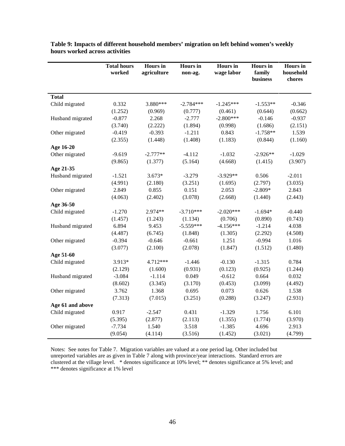|                  | <b>Total hours</b><br>worked | <b>Hours</b> in<br>agriculture | <b>Hours</b> in<br>non-ag. | <b>Hours</b> in<br>wage labor | <b>Hours</b> in<br>family<br>business | <b>Hours</b> in<br>household<br>chores |
|------------------|------------------------------|--------------------------------|----------------------------|-------------------------------|---------------------------------------|----------------------------------------|
| <b>Total</b>     |                              |                                |                            |                               |                                       |                                        |
| Child migrated   | 0.332                        | 3.880***                       | $-2.784***$                | $-1.245***$                   | $-1.553**$                            | $-0.346$                               |
|                  | (1.252)                      | (0.969)                        | (0.777)                    | (0.461)                       | (0.644)                               | (0.662)                                |
| Husband migrated | $-0.877$                     | 2.268                          | $-2.777$                   | $-2.800***$                   | $-0.146$                              | $-0.937$                               |
|                  | (3.740)                      | (2.222)                        | (1.894)                    | (0.998)                       | (1.686)                               | (2.151)                                |
| Other migrated   | $-0.419$                     | $-0.393$                       | $-1.211$                   | 0.843                         | $-1.758**$                            | 1.539                                  |
|                  | (2.355)                      | (1.448)                        | (1.408)                    | (1.183)                       | (0.844)                               | (1.160)                                |
| Age 16-20        |                              |                                |                            |                               |                                       |                                        |
| Other migrated   | $-9.619$                     | $-2.777**$                     | $-4.112$                   | $-1.032$                      | $-2.926**$                            | $-1.029$                               |
|                  | (9.865)                      | (1.377)                        | (5.164)                    | (4.668)                       | (1.415)                               | (3.907)                                |
| Age 21-35        |                              |                                |                            |                               |                                       |                                        |
| Husband migrated | $-1.521$                     | $3.673*$                       | $-3.279$                   | $-3.929**$                    | 0.506                                 | $-2.011$                               |
|                  | (4.991)                      | (2.180)                        | (3.251)                    | (1.695)                       | (2.797)                               | (3.035)                                |
| Other migrated   | 2.849                        | 0.855                          | 0.151                      | 2.053                         | $-2.809*$                             | 2.843                                  |
|                  | (4.063)                      | (2.402)                        | (3.078)                    | (2.668)                       | (1.440)                               | (2.443)                                |
| Age 36-50        |                              |                                |                            |                               |                                       |                                        |
| Child migrated   | $-1.270$                     | 2.974**                        | $-3.710***$                | $-2.020***$                   | $-1.694*$                             | $-0.440$                               |
|                  | (1.457)                      | (1.243)                        | (1.134)                    | (0.706)                       | (0.890)                               | (0.743)                                |
| Husband migrated | 6.894                        | 9.453                          | $-5.559***$                | $-4.156***$                   | $-1.214$                              | 4.038                                  |
|                  | (4.487)                      | (6.745)                        | (1.848)                    | (1.305)                       | (2.292)                               | (4.508)                                |
| Other migrated   | $-0.394$                     | $-0.646$                       | $-0.661$                   | 1.251                         | $-0.994$                              | 1.016                                  |
|                  | (3.077)                      | (2.100)                        | (2.078)                    | (1.847)                       | (1.512)                               | (1.480)                                |
| Age 51-60        |                              |                                |                            |                               |                                       |                                        |
| Child migrated   | 3.913*                       | 4.712***                       | $-1.446$                   | $-0.130$                      | $-1.315$                              | 0.784                                  |
|                  | (2.129)                      | (1.600)                        | (0.931)                    | (0.123)                       | (0.925)                               | (1.244)                                |
| Husband migrated | $-3.084$                     | $-1.114$                       | 0.049                      | $-0.612$                      | 0.664                                 | 0.032                                  |
|                  | (8.602)                      | (3.345)                        | (3.170)                    | (0.453)                       | (3.099)                               | (4.492)                                |
| Other migrated   | 3.762                        | 1.368                          | 0.695                      | 0.073                         | 0.626                                 | 1.538                                  |
|                  | (7.313)                      | (7.015)                        | (3.251)                    | (0.288)                       | (3.247)                               | (2.931)                                |
| Age 61 and above |                              |                                |                            |                               |                                       |                                        |
| Child migrated   | 0.917                        | $-2.547$                       | 0.431                      | $-1.329$                      | 1.756                                 | 6.101                                  |
|                  | (5.395)                      | (2.877)                        | (2.113)                    | (1.355)                       | (1.774)                               | (3.970)                                |
| Other migrated   | $-7.734$                     | 1.540                          | 3.518                      | $-1.385$                      | 4.696                                 | 2.913                                  |
|                  | (9.054)                      | (4.114)                        | (3.516)                    | (1.452)                       | (3.021)                               | (4.799)                                |

**Table 9: Impacts of different household members' migration on left behind women's weekly hours worked across activities**

Notes: See notes for Table 7. Migration variables are valued at a one period lag. Other included but unreported variables are as given in Table 7 along with province/year interactions. Standard errors are clustered at the village level. \* denotes significance at 10% level; \*\* denotes significance at 5% level; and \*\*\* denotes significance at 1% level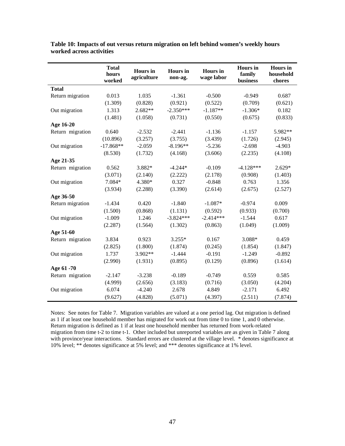|                  | <b>Total</b><br>hours<br>worked | <b>Hours</b> in<br>agriculture | <b>Hours</b> in<br>non-ag. | <b>Hours</b> in<br>wage labor | <b>Hours</b> in<br>family<br>business | <b>Hours</b> in<br>household<br>chores |
|------------------|---------------------------------|--------------------------------|----------------------------|-------------------------------|---------------------------------------|----------------------------------------|
| <b>Total</b>     |                                 |                                |                            |                               |                                       |                                        |
| Return migration | 0.013                           | 1.035                          | $-1.361$                   | $-0.500$                      | $-0.949$                              | 0.687                                  |
|                  | (1.309)                         | (0.828)                        | (0.921)                    | (0.522)                       | (0.709)                               | (0.621)                                |
| Out migration    | 1.313                           | $2.682**$                      | $-2.350***$                | $-1.187**$                    | $-1.306*$                             | 0.182                                  |
|                  | (1.481)                         | (1.058)                        | (0.731)                    | (0.550)                       | (0.675)                               | (0.833)                                |
| Age 16-20        |                                 |                                |                            |                               |                                       |                                        |
| Return migration | 0.640                           | $-2.532$                       | $-2.441$                   | $-1.136$                      | $-1.157$                              | 5.982**                                |
|                  | (10.896)                        | (3.257)                        | (3.755)                    | (3.439)                       | (1.726)                               | (2.945)                                |
| Out migration    | $-17.868**$                     | $-2.059$                       | $-8.196**$                 | $-5.236$                      | $-2.698$                              | $-4.903$                               |
|                  | (8.530)                         | (1.732)                        | (4.168)                    | (3.606)                       | (2.235)                               | (4.108)                                |
| Age 21-35        |                                 |                                |                            |                               |                                       |                                        |
| Return migration | 0.562                           | 3.882*                         | $-4.244*$                  | $-0.109$                      | $-4.128***$                           | $2.629*$                               |
|                  | (3.071)                         | (2.140)                        | (2.222)                    | (2.178)                       | (0.908)                               | (1.403)                                |
| Out migration    | 7.084*                          | 4.380*                         | 0.327                      | $-0.848$                      | 0.763                                 | 1.356                                  |
|                  | (3.934)                         | (2.288)                        | (3.390)                    | (2.614)                       | (2.675)                               | (2.527)                                |
| Age 36-50        |                                 |                                |                            |                               |                                       |                                        |
| Return migration | $-1.434$                        | 0.420                          | $-1.840$                   | $-1.087*$                     | $-0.974$                              | 0.009                                  |
|                  | (1.500)                         | (0.868)                        | (1.131)                    | (0.592)                       | (0.933)                               | (0.700)                                |
| Out migration    | $-1.009$                        | 1.246                          | $-3.824***$                | $-2.414***$                   | $-1.544$                              | 0.617                                  |
|                  | (2.287)                         | (1.564)                        | (1.302)                    | (0.863)                       | (1.049)                               | (1.009)                                |
| Age 51-60        |                                 |                                |                            |                               |                                       |                                        |
| Return migration | 3.834                           | 0.923                          | $3.255*$                   | 0.167                         | 3.088*                                | 0.459                                  |
|                  | (2.825)                         | (1.800)                        | (1.874)                    | (0.245)                       | (1.854)                               | (1.847)                                |
| Out migration    | 1.737                           | 3.902**                        | $-1.444$                   | $-0.191$                      | $-1.249$                              | $-0.892$                               |
|                  | (2.990)                         | (1.931)                        | (0.895)                    | (0.129)                       | (0.896)                               | (1.614)                                |
| Age 61 -70       |                                 |                                |                            |                               |                                       |                                        |
| Return migration | $-2.147$                        | $-3.238$                       | $-0.189$                   | $-0.749$                      | 0.559                                 | 0.585                                  |
|                  | (4.999)                         | (2.656)                        | (3.183)                    | (0.716)                       | (3.050)                               | (4.204)                                |
| Out migration    | 6.074                           | $-4.240$                       | 2.678                      | 4.849                         | $-2.171$                              | 6.492                                  |
|                  | (9.627)                         | (4.828)                        | (5.071)                    | (4.397)                       | (2.511)                               | (7.874)                                |

**Table 10: Impacts of out versus return migration on left behind women's weekly hours worked across activities**

Notes: See notes for Table 7. Migration variables are valued at a one period lag. Out migration is defined as 1 if at least one household member has migrated for work out from time 0 to time 1, and 0 otherwise. Return migration is defined as 1 if at least one household member has returned from work-related migration from time t-2 to time t-1. Other included but unreported variables are as given in Table 7 along with province/year interactions. Standard errors are clustered at the village level. \* denotes significance at 10% level; \*\* denotes significance at 5% level; and \*\*\* denotes significance at 1% level.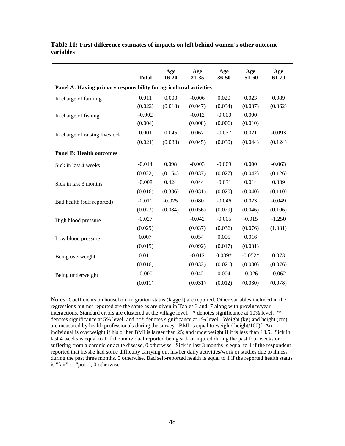|                                                                    | <b>Total</b> | Age<br>$16 - 20$ | Age<br>21-35 | Age<br>36-50 | Age<br>51-60 | Age<br>61-70 |  |
|--------------------------------------------------------------------|--------------|------------------|--------------|--------------|--------------|--------------|--|
| Panel A: Having primary responsibility for agricultural activities |              |                  |              |              |              |              |  |
| In charge of farming                                               | 0.011        | 0.003            | $-0.006$     | 0.020        | 0.023        | 0.089        |  |
|                                                                    | (0.022)      | (0.013)          | (0.047)      | (0.034)      | (0.037)      | (0.062)      |  |
| In charge of fishing                                               | $-0.002$     |                  | $-0.012$     | $-0.000$     | 0.000        |              |  |
|                                                                    | (0.004)      |                  | (0.008)      | (0.006)      | (0.010)      |              |  |
| In charge of raising livestock                                     | 0.001        | 0.045            | 0.067        | $-0.037$     | 0.021        | $-0.093$     |  |
|                                                                    | (0.021)      | (0.038)          | (0.045)      | (0.030)      | (0.044)      | (0.124)      |  |
| <b>Panel B: Health outcomes</b>                                    |              |                  |              |              |              |              |  |
| Sick in last 4 weeks                                               | $-0.014$     | 0.098            | $-0.003$     | $-0.009$     | 0.000        | $-0.063$     |  |
|                                                                    | (0.022)      | (0.154)          | (0.037)      | (0.027)      | (0.042)      | (0.126)      |  |
| Sick in last 3 months                                              | $-0.008$     | 0.424            | 0.044        | $-0.031$     | 0.014        | 0.039        |  |
|                                                                    | (0.016)      | (0.336)          | (0.031)      | (0.020)      | (0.040)      | (0.110)      |  |
| Bad health (self reported)                                         | $-0.011$     | $-0.025$         | 0.080        | $-0.046$     | 0.023        | $-0.049$     |  |
|                                                                    | (0.023)      | (0.084)          | (0.056)      | (0.029)      | (0.046)      | (0.106)      |  |
| High blood pressure                                                | $-0.027$     |                  | $-0.042$     | $-0.005$     | $-0.015$     | $-1.250$     |  |
|                                                                    | (0.029)      |                  | (0.037)      | (0.036)      | (0.076)      | (1.081)      |  |
| Low blood pressure                                                 | 0.007        |                  | 0.054        | 0.005        | 0.016        |              |  |
|                                                                    | (0.015)      |                  | (0.092)      | (0.017)      | (0.031)      |              |  |
| Being overweight                                                   | 0.011        |                  | $-0.012$     | $0.039*$     | $-0.052*$    | 0.073        |  |
|                                                                    | (0.016)      |                  | (0.032)      | (0.021)      | (0.030)      | (0.076)      |  |
| Being underweight                                                  | $-0.000$     |                  | 0.042        | 0.004        | $-0.026$     | $-0.062$     |  |
|                                                                    | (0.011)      |                  | (0.031)      | (0.012)      | (0.030)      | (0.078)      |  |

**Table 11: First difference estimates of impacts on left behind women's other outcome variables**

Notes: Coefficients on household migration status (lagged) are reported. Other variables included in the regressions but not reported are the same as are given in Tables 3 and 7 along with province/year interactions. Standard errors are clustered at the village level. \* denotes significance at 10% level; \*\* denotes significance at 5% level; and \*\*\* denotes significance at 1% level. Weight (kg) and height (cm) are measured by health professionals during the survey. BMI is equal to weight/(height/100)<sup>2</sup>. An individual is overweight if his or her BMI is larger than 25; and underweight if it is less than 18.5. Sick in last 4 weeks is equal to 1 if the individual reported being sick or injured during the past four weeks or suffering from a chronic or acute disease, 0 otherwise. Sick in last 3 months is equal to 1 if the respondent reported that he/she had some difficulty carrying out his/her daily activities/work or studies due to illness during the past three months, 0 otherwise. Bad self-reported health is equal to 1 if the reported health status is "fair" or "poor", 0 otherwise.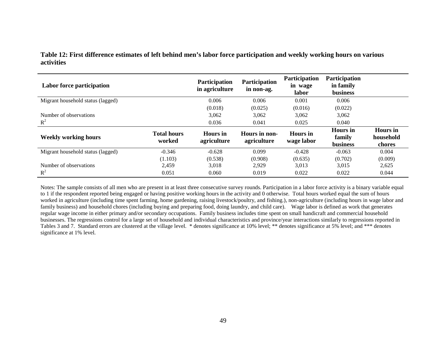| Labor force participation         |                              | Participation<br>in agriculture | Participation<br>in non-ag.  | <b>Participation</b><br>in wage<br>labor | <b>Participation</b><br>in family<br><b>business</b> |                                        |
|-----------------------------------|------------------------------|---------------------------------|------------------------------|------------------------------------------|------------------------------------------------------|----------------------------------------|
| Migrant household status (lagged) |                              | 0.006                           | 0.006                        | 0.001                                    | 0.006                                                |                                        |
|                                   |                              | (0.018)                         | (0.025)                      | (0.016)                                  | (0.022)                                              |                                        |
| Number of observations            |                              | 3,062                           | 3,062                        | 3,062                                    | 3,062                                                |                                        |
| $R^2$                             |                              | 0.036                           | 0.041                        | 0.025                                    | 0.040                                                |                                        |
| <b>Weekly working hours</b>       | <b>Total hours</b><br>worked | <b>Hours</b> in<br>agriculture  | Hours in non-<br>agriculture | Hours in<br>wage labor                   | <b>Hours</b> in<br>family<br><b>business</b>         | <b>Hours</b> in<br>household<br>chores |
| Migrant household status (lagged) | $-0.346$                     | $-0.628$                        | 0.099                        | $-0.428$                                 | $-0.063$                                             | 0.004                                  |
|                                   | (1.103)                      | (0.538)                         | (0.908)                      | (0.635)                                  | (0.702)                                              | (0.009)                                |
| Number of observations            | 2,459                        | 3,018                           | 2,929                        | 3,013                                    | 3,015                                                | 2,625                                  |
| $R^2$                             | 0.051                        | 0.060                           | 0.019                        | 0.022                                    | 0.022                                                | 0.044                                  |

**Table 12: First difference estimates of left behind men's labor force participation and weekly working hours on various activities**

Notes: The sample consists of all men who are present in at least three consecutive survey rounds. Participation in a labor force activity is a binary variable equal to 1 if the respondent reported being engaged or having positive working hours in the activity and 0 otherwise. Total hours worked equal the sum of hours worked in agriculture (including time spent farming, home gardening, raising livestock/poultry, and fishing.), non-agriculture (including hours in wage labor and family business) and household chores (including buying and preparing food, doing laundry, and child care). Wage labor is defined as work that generates regular wage income in either primary and/or secondary occupations. Family business includes time spent on small handicraft and commercial household businesses. The regressions control for a large set of household and individual characteristics and province/year interactions similarly to regressions reported in Tables 3 and 7. Standard errors are clustered at the village level. \* denotes significance at 10% level; \*\* denotes significance at 5% level; and \*\*\* denotes significance at 1% level.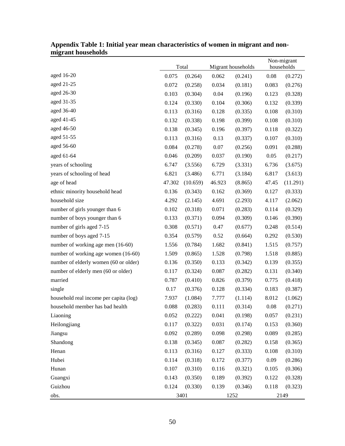| ingram nousenorus                      | Total        |          | Migrant households |         |          | Non-migrant<br>households |
|----------------------------------------|--------------|----------|--------------------|---------|----------|---------------------------|
| aged 16-20                             | 0.075        | (0.264)  | 0.062              | (0.241) | 0.08     | (0.272)                   |
| aged 21-25                             | 0.072        | (0.258)  | 0.034              | (0.181) | 0.083    | (0.276)                   |
| aged 26-30                             | 0.103        | (0.304)  | 0.04               | (0.196) | 0.123    | (0.328)                   |
| aged 31-35                             | 0.124        | (0.330)  | 0.104              | (0.306) | 0.132    | (0.339)                   |
| aged 36-40                             | 0.113        | (0.316)  | 0.128              | (0.335) | 0.108    | (0.310)                   |
| aged 41-45                             | 0.132        | (0.338)  | 0.198              | (0.399) | 0.108    | (0.310)                   |
| aged 46-50                             | 0.138        | (0.345)  | 0.196              | (0.397) | 0.118    | (0.322)                   |
| aged 51-55                             | 0.113        | (0.316)  | 0.13               | (0.337) | 0.107    | (0.310)                   |
| aged 56-60                             | 0.084        | (0.278)  | 0.07               | (0.256) | 0.091    | (0.288)                   |
| aged 61-64                             | 0.046        | (0.209)  | 0.037              | (0.190) | 0.05     | (0.217)                   |
| years of schooling                     | 6.747        | (3.556)  | 6.729              | (3.331) | 6.736    | (3.675)                   |
| years of schooling of head             | 6.821        | (3.486)  | 6.771              | (3.184) | 6.817    | (3.613)                   |
| age of head                            | 47.302       | (10.659) | 46.923             | (8.865) | 47.45    | (11.291)                  |
| ethnic minority household head         | 0.136        | (0.343)  | 0.162              | (0.369) | 0.127    | (0.333)                   |
| household size                         | 4.292        | (2.145)  | 4.691              | (2.293) | 4.117    | (2.062)                   |
| number of girls younger than 6         | 0.102        | (0.318)  | 0.071              | (0.283) | 0.114    | (0.329)                   |
| number of boys younger than 6          | 0.133        | (0.371)  | 0.094              | (0.309) | 0.146    | (0.390)                   |
| number of girls aged 7-15              | 0.308        | (0.571)  | 0.47               | (0.677) | 0.248    | (0.514)                   |
| number of boys aged 7-15               | 0.354        | (0.579)  | 0.52               | (0.664) | 0.292    | (0.530)                   |
| number of working age men (16-60)      | 1.556        | (0.784)  | 1.682              | (0.841) | 1.515    | (0.757)                   |
| number of working age women (16-60)    | 1.509        | (0.865)  | 1.528              | (0.798) | 1.518    | (0.885)                   |
| number of elderly women (60 or older)  | 0.136        | (0.350)  | 0.133              | (0.342) | 0.139    | (0.355)                   |
| number of elderly men (60 or older)    | 0.117        | (0.324)  | 0.087              | (0.282) | 0.131    | (0.340)                   |
| married                                | 0.787        | (0.410)  | 0.826              | (0.379) | 0.775    | (0.418)                   |
| single                                 | 0.17         | (0.376)  | 0.128              | (0.334) | 0.183    | (0.387)                   |
| household real income per capita (log) | 7.937        | (1.084)  | 7.777              | (1.114) | 8.012    | (1.062)                   |
| household member has bad health        | 0.088        | (0.283)  | 0.111              | (0.314) | $0.08\,$ | (0.271)                   |
| Liaoning                               | 0.052        | (0.222)  | 0.041              | (0.198) | 0.057    | (0.231)                   |
| Heilongjiang                           | 0.117        | (0.322)  | $0.031\,$          | (0.174) | 0.153    | (0.360)                   |
| Jiangsu                                | 0.092        | (0.289)  | 0.098              | (0.298) | 0.089    | (0.285)                   |
| Shandong                               | 0.138        | (0.345)  | 0.087              | (0.282) | 0.158    | (0.365)                   |
| Henan                                  | 0.113        | (0.316)  | 0.127              | (0.333) | 0.108    | (0.310)                   |
| Hubei                                  | 0.114        | (0.318)  | 0.172              | (0.377) | 0.09     | (0.286)                   |
| Hunan                                  | 0.107        | (0.310)  | 0.116              | (0.321) | 0.105    | (0.306)                   |
| Guangxi                                | 0.143        | (0.350)  | 0.189              | (0.392) | 0.122    | (0.328)                   |
| Guizhou                                | 0.124        | (0.330)  | 0.139              | (0.346) | 0.118    | (0.323)                   |
| obs.                                   | 3401<br>1252 |          |                    | 2149    |          |                           |

**Appendix Table 1: Initial year mean characteristics of women in migrant and nonmigrant households**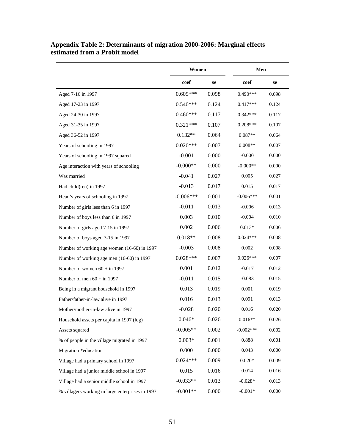|                                                  | Women       |       | Men             |       |  |
|--------------------------------------------------|-------------|-------|-----------------|-------|--|
|                                                  | coef        | se    | $\mathbf{coef}$ | se    |  |
| Aged 7-16 in 1997                                | $0.605***$  | 0.098 | $0.490***$      | 0.098 |  |
| Aged 17-23 in 1997                               | $0.540***$  | 0.124 | $0.417***$      | 0.124 |  |
| Aged 24-30 in 1997                               | $0.460***$  | 0.117 | $0.342***$      | 0.117 |  |
| Aged 31-35 in 1997                               | $0.321***$  | 0.107 | $0.208***$      | 0.107 |  |
| Aged 36-52 in 1997                               | $0.132**$   | 0.064 | $0.087**$       | 0.064 |  |
| Years of schooling in 1997                       | $0.020***$  | 0.007 | $0.008**$       | 0.007 |  |
| Years of schooling in 1997 squared               | $-0.001$    | 0.000 | $-0.000$        | 0.000 |  |
| Age interaction with years of schooling          | $-0.000**$  | 0.000 | $-0.000**$      | 0.000 |  |
| Was married                                      | $-0.041$    | 0.027 | 0.005           | 0.027 |  |
| Had child(ren) in 1997                           | $-0.013$    | 0.017 | 0.015           | 0.017 |  |
| Head's years of schooling in 1997                | $-0.006***$ | 0.001 | $-0.006***$     | 0.001 |  |
| Number of girls less than 6 in 1997              | $-0.011$    | 0.013 | $-0.006$        | 0.013 |  |
| Number of boys less than 6 in 1997               | 0.003       | 0.010 | $-0.004$        | 0.010 |  |
| Number of girls aged 7-15 in 1997                | 0.002       | 0.006 | $0.013*$        | 0.006 |  |
| Number of boys aged 7-15 in 1997                 | $0.018**$   | 0.008 | $0.024***$      | 0.008 |  |
| Number of working age women (16-60) in 1997      | $-0.003$    | 0.008 | 0.002           | 0.008 |  |
| Number of working age men (16-60) in 1997        | $0.028***$  | 0.007 | $0.026***$      | 0.007 |  |
| Number of women $60 + in$ 1997                   | 0.001       | 0.012 | $-0.017$        | 0.012 |  |
| Number of men $60 + in$ 1997                     | $-0.011$    | 0.015 | $-0.083$        | 0.015 |  |
| Being in a migrant household in 1997             | 0.013       | 0.019 | 0.001           | 0.019 |  |
| Father/father-in-law alive in 1997               | 0.016       | 0.013 | 0.091           | 0.013 |  |
| Mother/mother-in-law alive in 1997               | $-0.028$    | 0.020 | 0.016           | 0.020 |  |
| Household assets per capita in 1997 (log)        | $0.046*$    | 0.026 | $0.016**$       | 0.026 |  |
| Assets squared                                   | $-0.005**$  | 0.002 | $-0.002***$     | 0.002 |  |
| % of people in the village migrated in 1997      | $0.003*$    | 0.001 | 0.888           | 0.001 |  |
| Migration *education                             | 0.000       | 0.000 | 0.043           | 0.000 |  |
| Village had a primary school in 1997             | $0.024***$  | 0.009 | $0.020*$        | 0.009 |  |
| Village had a junior middle school in 1997       | 0.015       | 0.016 | 0.014           | 0.016 |  |
| Village had a senior middle school in 1997       | $-0.033**$  | 0.013 | $-0.028*$       | 0.013 |  |
| % villagers working in large enterprises in 1997 | $-0.001**$  | 0.000 | $-0.001*$       | 0.000 |  |

## **Appendix Table 2: Determinants of migration 2000-2006: Marginal effects estimated from a Probit model**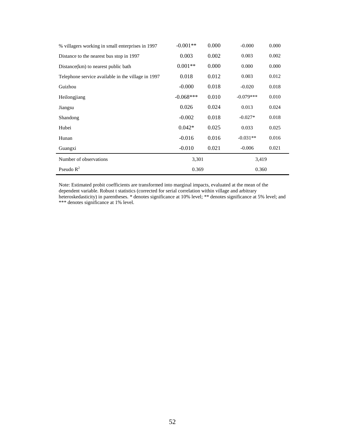| % villagers working in small enterprises in 1997   | $-0.001**$  | 0.000 | $-0.000$    | 0.000 |  |
|----------------------------------------------------|-------------|-------|-------------|-------|--|
| Distance to the nearest bus stop in 1997           | 0.003       | 0.002 | 0.003       | 0.002 |  |
| Distance(km) to nearest public bath                | $0.001**$   | 0.000 | 0.000       | 0.000 |  |
| Telephone service available in the village in 1997 | 0.018       | 0.012 | 0.003       | 0.012 |  |
| Guizhou                                            | $-0.000$    | 0.018 | $-0.020$    | 0.018 |  |
| Heilongjiang                                       | $-0.068***$ | 0.010 | $-0.079***$ | 0.010 |  |
| Jiangsu                                            | 0.026       | 0.024 | 0.013       | 0.024 |  |
| Shandong                                           | $-0.002$    | 0.018 | $-0.027*$   | 0.018 |  |
| Hubei                                              | $0.042*$    | 0.025 | 0.033       | 0.025 |  |
| Hunan                                              | $-0.016$    | 0.016 | $-0.031**$  | 0.016 |  |
| Guangxi                                            | $-0.010$    | 0.021 | $-0.006$    | 0.021 |  |
| Number of observations                             |             | 3,301 |             | 3,419 |  |
| Pseudo $R^2$                                       | 0.369       |       | 0.360       |       |  |

Note: Estimated probit coefficients are transformed into marginal impacts, evaluated at the mean of the dependent variable. Robust t statistics (corrected for serial correlation within village and arbitrary heteroskedasticity) in parentheses. \* denotes significance at 10% level; \*\* denotes significance at 5% level; and \*\*\* denotes significance at 1% level.